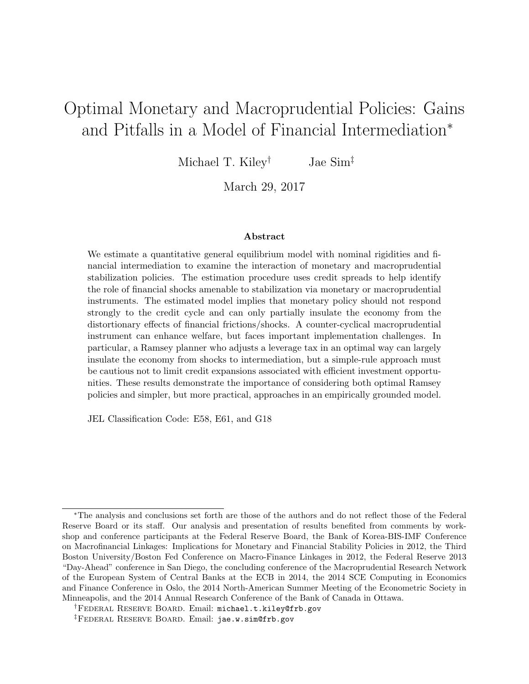# <span id="page-0-0"></span>Optimal Monetary and Macroprudential Policies: Gains and Pitfalls in a Model of Financial Intermediation<sup>∗</sup>

Michael T. Kiley<sup>†</sup> Jae Sim<sup>‡</sup>

March 29, 2017

#### Abstract

We estimate a quantitative general equilibrium model with nominal rigidities and financial intermediation to examine the interaction of monetary and macroprudential stabilization policies. The estimation procedure uses credit spreads to help identify the role of financial shocks amenable to stabilization via monetary or macroprudential instruments. The estimated model implies that monetary policy should not respond strongly to the credit cycle and can only partially insulate the economy from the distortionary effects of financial frictions/shocks. A counter-cyclical macroprudential instrument can enhance welfare, but faces important implementation challenges. In particular, a Ramsey planner who adjusts a leverage tax in an optimal way can largely insulate the economy from shocks to intermediation, but a simple-rule approach must be cautious not to limit credit expansions associated with efficient investment opportunities. These results demonstrate the importance of considering both optimal Ramsey policies and simpler, but more practical, approaches in an empirically grounded model.

JEL Classification Code: E58, E61, and G18

<sup>∗</sup>The analysis and conclusions set forth are those of the authors and do not reflect those of the Federal Reserve Board or its staff. Our analysis and presentation of results benefited from comments by workshop and conference participants at the Federal Reserve Board, the Bank of Korea-BIS-IMF Conference on Macrofinancial Linkages: Implications for Monetary and Financial Stability Policies in 2012, the Third Boston University/Boston Fed Conference on Macro-Finance Linkages in 2012, the Federal Reserve 2013 "Day-Ahead" conference in San Diego, the concluding conference of the Macroprudential Research Network of the European System of Central Banks at the ECB in 2014, the 2014 SCE Computing in Economics and Finance Conference in Oslo, the 2014 North-American Summer Meeting of the Econometric Society in Minneapolis, and the 2014 Annual Research Conference of the Bank of Canada in Ottawa.

<sup>†</sup>Federal Reserve Board. Email: michael.t.kiley@frb.gov

<sup>‡</sup>Federal Reserve Board. Email: jae.w.sim@frb.gov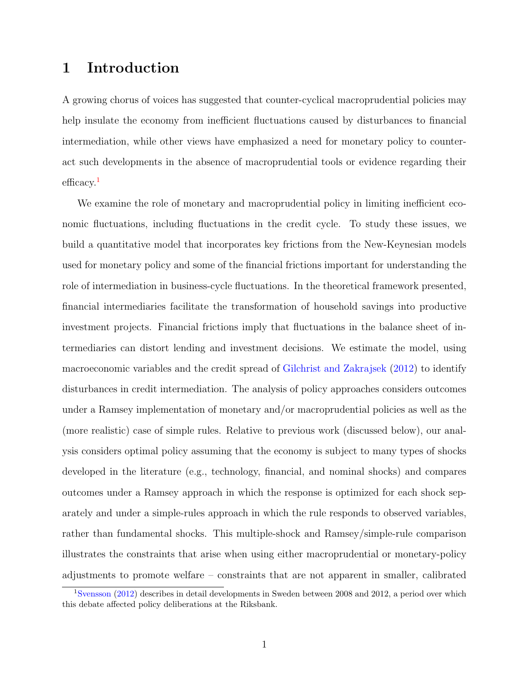### 1 Introduction

A growing chorus of voices has suggested that counter-cyclical macroprudential policies may help insulate the economy from inefficient fluctuations caused by disturbances to financial intermediation, while other views have emphasized a need for monetary policy to counteract such developments in the absence of macroprudential tools or evidence regarding their efficacy.<sup>[1](#page-0-0)</sup>

We examine the role of monetary and macroprudential policy in limiting inefficient economic fluctuations, including fluctuations in the credit cycle. To study these issues, we build a quantitative model that incorporates key frictions from the New-Keynesian models used for monetary policy and some of the financial frictions important for understanding the role of intermediation in business-cycle fluctuations. In the theoretical framework presented, financial intermediaries facilitate the transformation of household savings into productive investment projects. Financial frictions imply that fluctuations in the balance sheet of intermediaries can distort lending and investment decisions. We estimate the model, using macroeconomic variables and the credit spread of [Gilchrist and Zakrajsek](#page-43-0) [\(2012\)](#page-43-0) to identify disturbances in credit intermediation. The analysis of policy approaches considers outcomes under a Ramsey implementation of monetary and/or macroprudential policies as well as the (more realistic) case of simple rules. Relative to previous work (discussed below), our analysis considers optimal policy assuming that the economy is subject to many types of shocks developed in the literature (e.g., technology, financial, and nominal shocks) and compares outcomes under a Ramsey approach in which the response is optimized for each shock separately and under a simple-rules approach in which the rule responds to observed variables, rather than fundamental shocks. This multiple-shock and Ramsey/simple-rule comparison illustrates the constraints that arise when using either macroprudential or monetary-policy adjustments to promote welfare – constraints that are not apparent in smaller, calibrated

<sup>&</sup>lt;sup>1</sup>[Svensson](#page-44-0) [\(2012\)](#page-44-0) describes in detail developments in Sweden between 2008 and 2012, a period over which this debate affected policy deliberations at the Riksbank.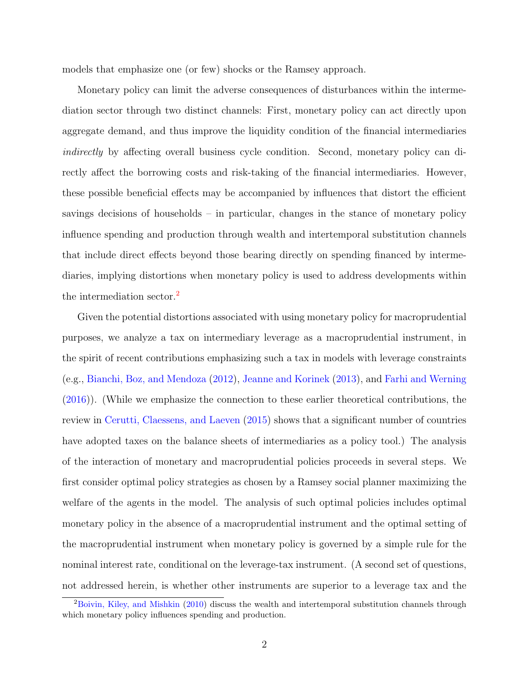models that emphasize one (or few) shocks or the Ramsey approach.

Monetary policy can limit the adverse consequences of disturbances within the intermediation sector through two distinct channels: First, monetary policy can act directly upon aggregate demand, and thus improve the liquidity condition of the financial intermediaries indirectly by affecting overall business cycle condition. Second, monetary policy can directly affect the borrowing costs and risk-taking of the financial intermediaries. However, these possible beneficial effects may be accompanied by influences that distort the efficient savings decisions of households – in particular, changes in the stance of monetary policy influence spending and production through wealth and intertemporal substitution channels that include direct effects beyond those bearing directly on spending financed by intermediaries, implying distortions when monetary policy is used to address developments within the intermediation sector.[2](#page-0-0)

Given the potential distortions associated with using monetary policy for macroprudential purposes, we analyze a tax on intermediary leverage as a macroprudential instrument, in the spirit of recent contributions emphasizing such a tax in models with leverage constraints (e.g., [Bianchi, Boz, and Mendoza](#page-42-0) [\(2012\)](#page-42-0), [Jeanne and Korinek](#page-43-1) [\(2013\)](#page-43-1), and [Farhi and Werning](#page-42-1) [\(2016\)](#page-42-1)). (While we emphasize the connection to these earlier theoretical contributions, the review in [Cerutti, Claessens, and Laeven](#page-42-2) [\(2015\)](#page-42-2) shows that a significant number of countries have adopted taxes on the balance sheets of intermediaries as a policy tool.) The analysis of the interaction of monetary and macroprudential policies proceeds in several steps. We first consider optimal policy strategies as chosen by a Ramsey social planner maximizing the welfare of the agents in the model. The analysis of such optimal policies includes optimal monetary policy in the absence of a macroprudential instrument and the optimal setting of the macroprudential instrument when monetary policy is governed by a simple rule for the nominal interest rate, conditional on the leverage-tax instrument. (A second set of questions, not addressed herein, is whether other instruments are superior to a leverage tax and the

<sup>&</sup>lt;sup>2</sup>[Boivin, Kiley, and Mishkin](#page-42-3) [\(2010\)](#page-42-3) discuss the wealth and intertemporal substitution channels through which monetary policy influences spending and production.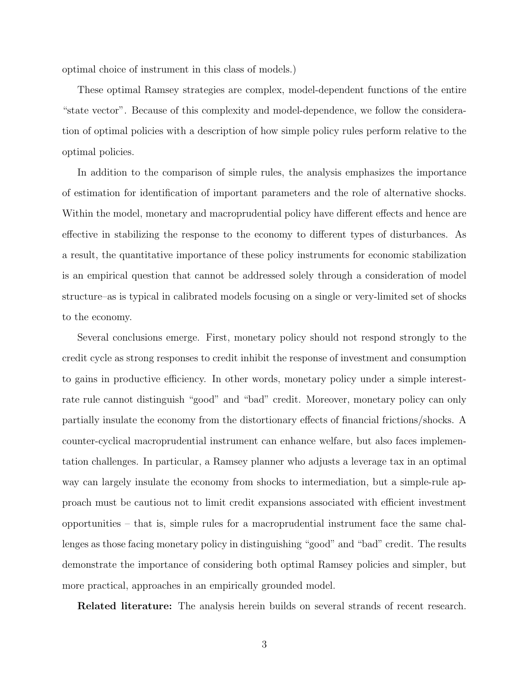optimal choice of instrument in this class of models.)

These optimal Ramsey strategies are complex, model-dependent functions of the entire "state vector". Because of this complexity and model-dependence, we follow the consideration of optimal policies with a description of how simple policy rules perform relative to the optimal policies.

In addition to the comparison of simple rules, the analysis emphasizes the importance of estimation for identification of important parameters and the role of alternative shocks. Within the model, monetary and macroprudential policy have different effects and hence are effective in stabilizing the response to the economy to different types of disturbances. As a result, the quantitative importance of these policy instruments for economic stabilization is an empirical question that cannot be addressed solely through a consideration of model structure–as is typical in calibrated models focusing on a single or very-limited set of shocks to the economy.

Several conclusions emerge. First, monetary policy should not respond strongly to the credit cycle as strong responses to credit inhibit the response of investment and consumption to gains in productive efficiency. In other words, monetary policy under a simple interestrate rule cannot distinguish "good" and "bad" credit. Moreover, monetary policy can only partially insulate the economy from the distortionary effects of financial frictions/shocks. A counter-cyclical macroprudential instrument can enhance welfare, but also faces implementation challenges. In particular, a Ramsey planner who adjusts a leverage tax in an optimal way can largely insulate the economy from shocks to intermediation, but a simple-rule approach must be cautious not to limit credit expansions associated with efficient investment opportunities – that is, simple rules for a macroprudential instrument face the same challenges as those facing monetary policy in distinguishing "good" and "bad" credit. The results demonstrate the importance of considering both optimal Ramsey policies and simpler, but more practical, approaches in an empirically grounded model.

Related literature: The analysis herein builds on several strands of recent research.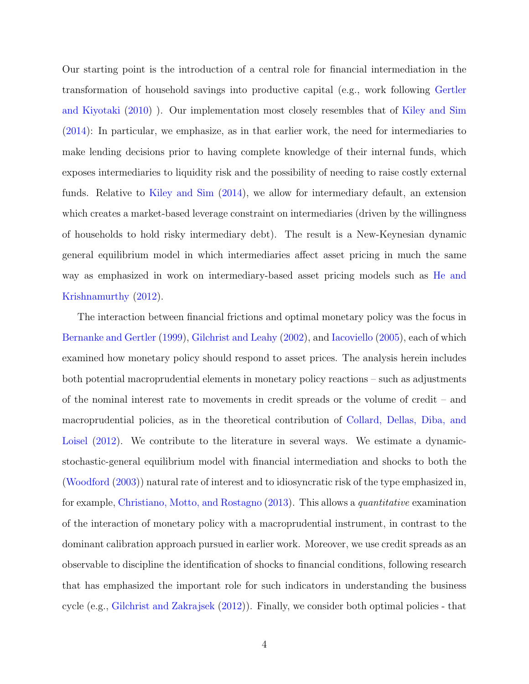Our starting point is the introduction of a central role for financial intermediation in the transformation of household savings into productive capital (e.g., work following [Gertler](#page-43-2) [and Kiyotaki](#page-43-2) [\(2010\)](#page-43-2) ). Our implementation most closely resembles that of [Kiley and Sim](#page-44-1) [\(2014\)](#page-44-1): In particular, we emphasize, as in that earlier work, the need for intermediaries to make lending decisions prior to having complete knowledge of their internal funds, which exposes intermediaries to liquidity risk and the possibility of needing to raise costly external funds. Relative to [Kiley and Sim](#page-44-1) [\(2014\)](#page-44-1), we allow for intermediary default, an extension which creates a market-based leverage constraint on intermediaries (driven by the willingness of households to hold risky intermediary debt). The result is a New-Keynesian dynamic general equilibrium model in which intermediaries affect asset pricing in much the same way as emphasized in work on intermediary-based asset pricing models such as [He and](#page-43-3) [Krishnamurthy](#page-43-3) [\(2012\)](#page-43-3).

The interaction between financial frictions and optimal monetary policy was the focus in [Bernanke and Gertler](#page-41-0) [\(1999\)](#page-41-0), [Gilchrist and Leahy](#page-43-4) [\(2002\)](#page-43-4), and [Iacoviello](#page-43-5) [\(2005\)](#page-43-5), each of which examined how monetary policy should respond to asset prices. The analysis herein includes both potential macroprudential elements in monetary policy reactions – such as adjustments of the nominal interest rate to movements in credit spreads or the volume of credit – and macroprudential policies, as in the theoretical contribution of [Collard, Dellas, Diba, and](#page-42-4) [Loisel](#page-42-4) [\(2012\)](#page-42-4). We contribute to the literature in several ways. We estimate a dynamicstochastic-general equilibrium model with financial intermediation and shocks to both the [\(Woodford](#page-44-2) [\(2003\)](#page-44-2)) natural rate of interest and to idiosyncratic risk of the type emphasized in, for example, [Christiano, Motto, and Rostagno](#page-42-5) [\(2013\)](#page-42-5). This allows a quantitative examination of the interaction of monetary policy with a macroprudential instrument, in contrast to the dominant calibration approach pursued in earlier work. Moreover, we use credit spreads as an observable to discipline the identification of shocks to financial conditions, following research that has emphasized the important role for such indicators in understanding the business cycle (e.g., [Gilchrist and Zakrajsek](#page-43-0) [\(2012\)](#page-43-0)). Finally, we consider both optimal policies - that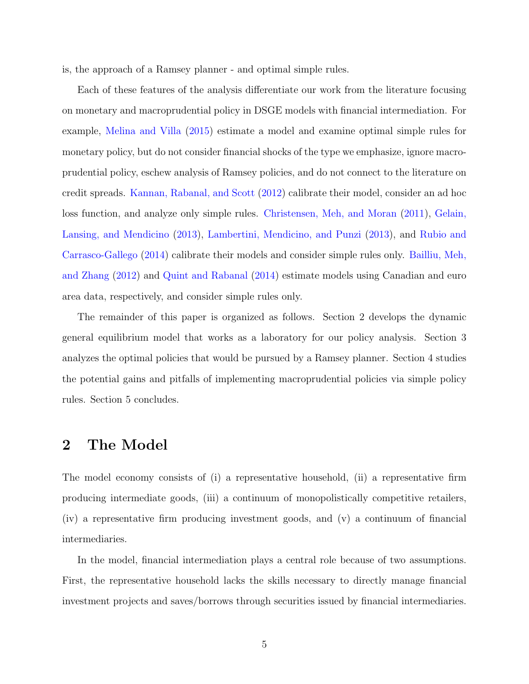is, the approach of a Ramsey planner - and optimal simple rules.

Each of these features of the analysis differentiate our work from the literature focusing on monetary and macroprudential policy in DSGE models with financial intermediation. For example, [Melina and Villa](#page-44-3) [\(2015\)](#page-44-3) estimate a model and examine optimal simple rules for monetary policy, but do not consider financial shocks of the type we emphasize, ignore macroprudential policy, eschew analysis of Ramsey policies, and do not connect to the literature on credit spreads. [Kannan, Rabanal, and Scott](#page-43-6) [\(2012\)](#page-43-6) calibrate their model, consider an ad hoc loss function, and analyze only simple rules. [Christensen, Meh, and Moran](#page-42-6) [\(2011\)](#page-42-6), [Gelain,](#page-42-7) [Lansing, and Mendicino](#page-42-7) [\(2013\)](#page-42-7), [Lambertini, Mendicino, and Punzi](#page-44-4) [\(2013\)](#page-44-4), and [Rubio and](#page-44-5) [Carrasco-Gallego](#page-44-5) [\(2014\)](#page-44-5) calibrate their models and consider simple rules only. [Bailliu, Meh,](#page-41-1) [and Zhang](#page-41-1) [\(2012\)](#page-41-1) and [Quint and Rabanal](#page-44-6) [\(2014\)](#page-44-6) estimate models using Canadian and euro area data, respectively, and consider simple rules only.

The remainder of this paper is organized as follows. Section 2 develops the dynamic general equilibrium model that works as a laboratory for our policy analysis. Section 3 analyzes the optimal policies that would be pursued by a Ramsey planner. Section 4 studies the potential gains and pitfalls of implementing macroprudential policies via simple policy rules. Section 5 concludes.

### 2 The Model

The model economy consists of (i) a representative household, (ii) a representative firm producing intermediate goods, (iii) a continuum of monopolistically competitive retailers, (iv) a representative firm producing investment goods, and (v) a continuum of financial intermediaries.

In the model, financial intermediation plays a central role because of two assumptions. First, the representative household lacks the skills necessary to directly manage financial investment projects and saves/borrows through securities issued by financial intermediaries.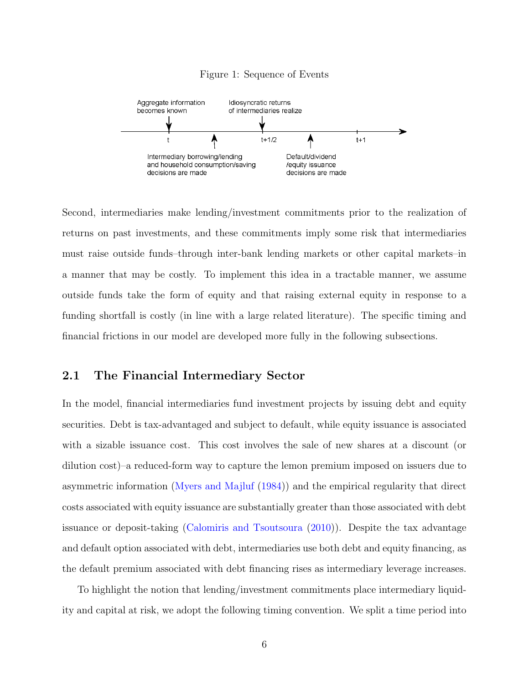<span id="page-6-0"></span>



Second, intermediaries make lending/investment commitments prior to the realization of returns on past investments, and these commitments imply some risk that intermediaries must raise outside funds–through inter-bank lending markets or other capital markets–in a manner that may be costly. To implement this idea in a tractable manner, we assume outside funds take the form of equity and that raising external equity in response to a funding shortfall is costly (in line with a large related literature). The specific timing and financial frictions in our model are developed more fully in the following subsections.

### 2.1 The Financial Intermediary Sector

In the model, financial intermediaries fund investment projects by issuing debt and equity securities. Debt is tax-advantaged and subject to default, while equity issuance is associated with a sizable issuance cost. This cost involves the sale of new shares at a discount (or dilution cost)–a reduced-form way to capture the lemon premium imposed on issuers due to asymmetric information [\(Myers and Majluf](#page-44-7) [\(1984\)](#page-44-7)) and the empirical regularity that direct costs associated with equity issuance are substantially greater than those associated with debt issuance or deposit-taking [\(Calomiris and Tsoutsoura](#page-42-8) [\(2010\)](#page-42-8)). Despite the tax advantage and default option associated with debt, intermediaries use both debt and equity financing, as the default premium associated with debt financing rises as intermediary leverage increases.

To highlight the notion that lending/investment commitments place intermediary liquidity and capital at risk, we adopt the following timing convention. We split a time period into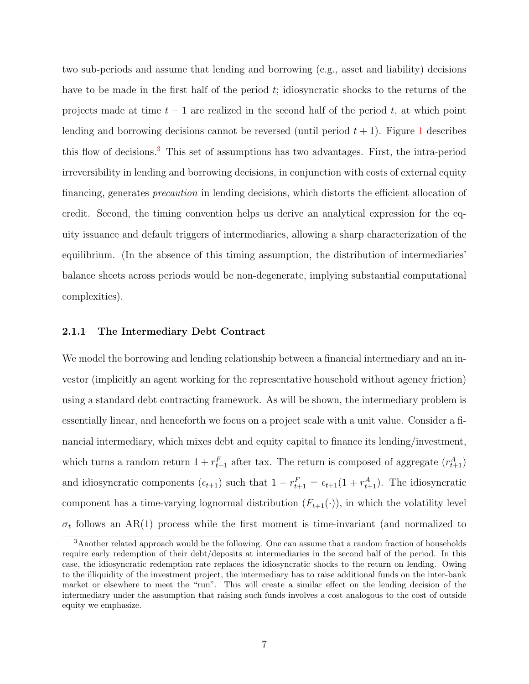two sub-periods and assume that lending and borrowing (e.g., asset and liability) decisions have to be made in the first half of the period t; idiosyncratic shocks to the returns of the projects made at time  $t - 1$  are realized in the second half of the period t, at which point lending and borrowing decisions cannot be reversed (until period  $t + 1$  $t + 1$ ). Figure 1 describes this flow of decisions.[3](#page-0-0) This set of assumptions has two advantages. First, the intra-period irreversibility in lending and borrowing decisions, in conjunction with costs of external equity financing, generates precaution in lending decisions, which distorts the efficient allocation of credit. Second, the timing convention helps us derive an analytical expression for the equity issuance and default triggers of intermediaries, allowing a sharp characterization of the equilibrium. (In the absence of this timing assumption, the distribution of intermediaries' balance sheets across periods would be non-degenerate, implying substantial computational complexities).

#### 2.1.1 The Intermediary Debt Contract

We model the borrowing and lending relationship between a financial intermediary and an investor (implicitly an agent working for the representative household without agency friction) using a standard debt contracting framework. As will be shown, the intermediary problem is essentially linear, and henceforth we focus on a project scale with a unit value. Consider a financial intermediary, which mixes debt and equity capital to finance its lending/investment, which turns a random return  $1 + r_{t+1}^F$  after tax. The return is composed of aggregate  $(r_{t+1}^A)$ and idiosyncratic components  $(\epsilon_{t+1})$  such that  $1 + r_{t+1}^F = \epsilon_{t+1}(1 + r_{t+1}^A)$ . The idiosyncratic component has a time-varying lognormal distribution  $(F_{t+1}(\cdot))$ , in which the volatility level  $\sigma_t$  follows an AR(1) process while the first moment is time-invariant (and normalized to

<sup>3</sup>Another related approach would be the following. One can assume that a random fraction of households require early redemption of their debt/deposits at intermediaries in the second half of the period. In this case, the idiosyncratic redemption rate replaces the idiosyncratic shocks to the return on lending. Owing to the illiquidity of the investment project, the intermediary has to raise additional funds on the inter-bank market or elsewhere to meet the "run". This will create a similar effect on the lending decision of the intermediary under the assumption that raising such funds involves a cost analogous to the cost of outside equity we emphasize.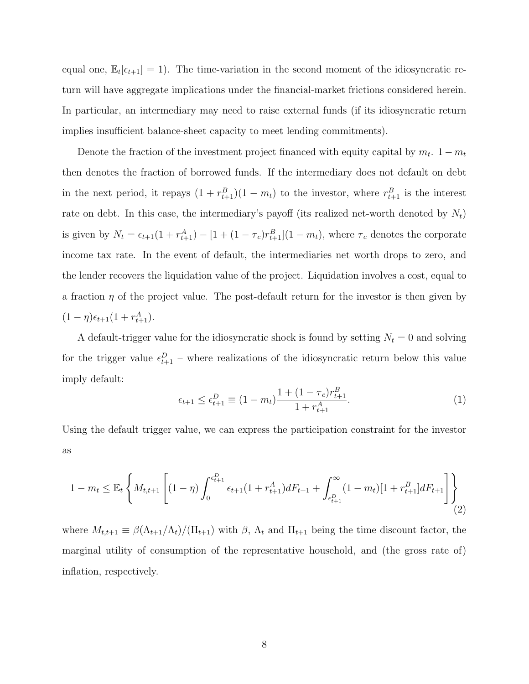equal one,  $\mathbb{E}_{t}[\epsilon_{t+1}] = 1$ . The time-variation in the second moment of the idiosyncratic return will have aggregate implications under the financial-market frictions considered herein. In particular, an intermediary may need to raise external funds (if its idiosyncratic return implies insufficient balance-sheet capacity to meet lending commitments).

Denote the fraction of the investment project financed with equity capital by  $m_t$ .  $1 - m_t$ then denotes the fraction of borrowed funds. If the intermediary does not default on debt in the next period, it repays  $(1 + r_{t+1}^B)(1 - m_t)$  to the investor, where  $r_{t+1}^B$  is the interest rate on debt. In this case, the intermediary's payoff (its realized net-worth denoted by  $N_t$ ) is given by  $N_t = \epsilon_{t+1}(1 + r_{t+1}^A) - [1 + (1 - \tau_c)r_{t+1}^B](1 - m_t)$ , where  $\tau_c$  denotes the corporate income tax rate. In the event of default, the intermediaries net worth drops to zero, and the lender recovers the liquidation value of the project. Liquidation involves a cost, equal to a fraction  $\eta$  of the project value. The post-default return for the investor is then given by  $(1 - \eta)\epsilon_{t+1}(1 + r_{t+1}^A).$ 

A default-trigger value for the idiosyncratic shock is found by setting  $N_t = 0$  and solving for the trigger value  $\epsilon_{t+1}^D$  – where realizations of the idiosyncratic return below this value imply default:

$$
\epsilon_{t+1} \le \epsilon_{t+1}^D \equiv (1 - m_t) \frac{1 + (1 - \tau_c) r_{t+1}^B}{1 + r_{t+1}^A}.
$$
\n(1)

<span id="page-8-0"></span>Using the default trigger value, we can express the participation constraint for the investor as

$$
1 - m_t \le \mathbb{E}_t \left\{ M_{t,t+1} \left[ (1 - \eta) \int_0^{\epsilon_{t+1}^D} \epsilon_{t+1} (1 + r_{t+1}^A) dF_{t+1} + \int_{\epsilon_{t+1}^D}^{\infty} (1 - m_t) [1 + r_{t+1}^B] dF_{t+1} \right] \right\}
$$
(2)

where  $M_{t,t+1} \equiv \beta(\Lambda_{t+1}/\Lambda_t)/(\Pi_{t+1})$  with  $\beta$ ,  $\Lambda_t$  and  $\Pi_{t+1}$  being the time discount factor, the marginal utility of consumption of the representative household, and (the gross rate of) inflation, respectively.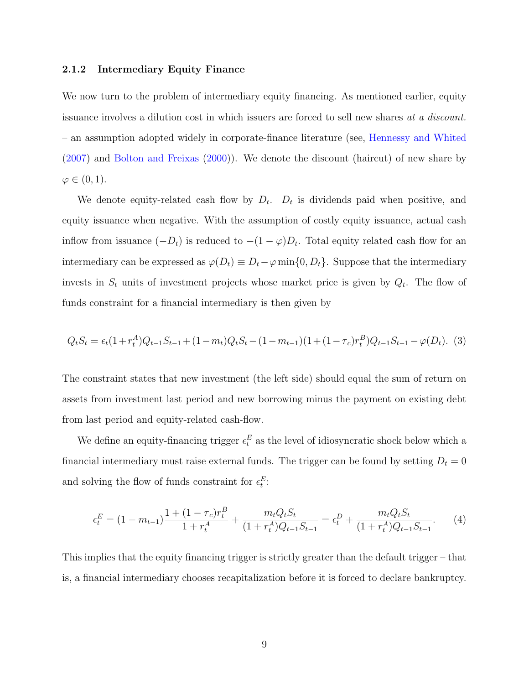#### 2.1.2 Intermediary Equity Finance

We now turn to the problem of intermediary equity financing. As mentioned earlier, equity issuance involves a dilution cost in which issuers are forced to sell new shares at a discount. – an assumption adopted widely in corporate-finance literature (see, [Hennessy and Whited](#page-43-7) [\(2007\)](#page-43-7) and [Bolton and Freixas](#page-42-9) [\(2000\)](#page-42-9)). We denote the discount (haircut) of new share by  $\varphi \in (0,1).$ 

We denote equity-related cash flow by  $D_t$ .  $D_t$  is dividends paid when positive, and equity issuance when negative. With the assumption of costly equity issuance, actual cash inflow from issuance  $(-D_t)$  is reduced to  $-(1-\varphi)D_t$ . Total equity related cash flow for an intermediary can be expressed as  $\varphi(D_t) \equiv D_t - \varphi \min\{0, D_t\}$ . Suppose that the intermediary invests in  $S_t$  units of investment projects whose market price is given by  $Q_t$ . The flow of funds constraint for a financial intermediary is then given by

<span id="page-9-0"></span>
$$
Q_t S_t = \epsilon_t (1 + r_t^A) Q_{t-1} S_{t-1} + (1 - m_t) Q_t S_t - (1 - m_{t-1}) (1 + (1 - \tau_c) r_t^B) Q_{t-1} S_{t-1} - \varphi(D_t). \tag{3}
$$

The constraint states that new investment (the left side) should equal the sum of return on assets from investment last period and new borrowing minus the payment on existing debt from last period and equity-related cash-flow.

We define an equity-financing trigger  $\epsilon_t^E$  as the level of idiosyncratic shock below which a financial intermediary must raise external funds. The trigger can be found by setting  $D_t = 0$ and solving the flow of funds constraint for  $\epsilon_t^E$ :

$$
\epsilon_t^E = (1 - m_{t-1}) \frac{1 + (1 - \tau_c)r_t^B}{1 + r_t^A} + \frac{m_t Q_t S_t}{(1 + r_t^A) Q_{t-1} S_{t-1}} = \epsilon_t^D + \frac{m_t Q_t S_t}{(1 + r_t^A) Q_{t-1} S_{t-1}}.
$$
 (4)

This implies that the equity financing trigger is strictly greater than the default trigger – that is, a financial intermediary chooses recapitalization before it is forced to declare bankruptcy.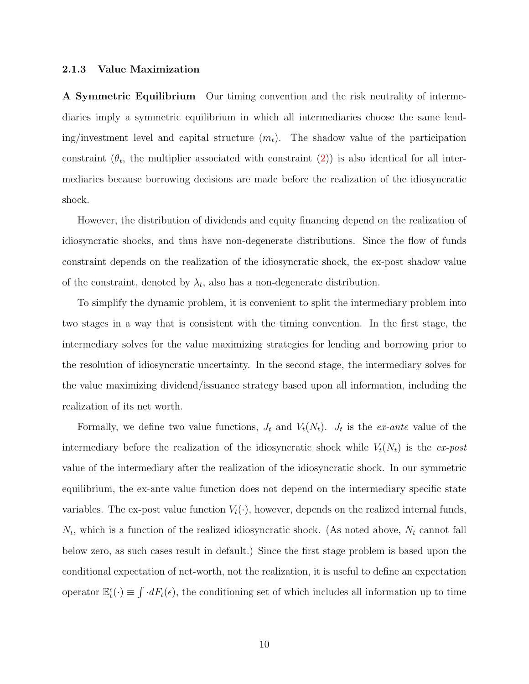#### 2.1.3 Value Maximization

A Symmetric Equilibrium Our timing convention and the risk neutrality of intermediaries imply a symmetric equilibrium in which all intermediaries choose the same lending/investment level and capital structure  $(m_t)$ . The shadow value of the participation constraint ( $\theta_t$ , the multiplier associated with constraint [\(2\)](#page-8-0)) is also identical for all intermediaries because borrowing decisions are made before the realization of the idiosyncratic shock.

However, the distribution of dividends and equity financing depend on the realization of idiosyncratic shocks, and thus have non-degenerate distributions. Since the flow of funds constraint depends on the realization of the idiosyncratic shock, the ex-post shadow value of the constraint, denoted by  $\lambda_t$ , also has a non-degenerate distribution.

To simplify the dynamic problem, it is convenient to split the intermediary problem into two stages in a way that is consistent with the timing convention. In the first stage, the intermediary solves for the value maximizing strategies for lending and borrowing prior to the resolution of idiosyncratic uncertainty. In the second stage, the intermediary solves for the value maximizing dividend/issuance strategy based upon all information, including the realization of its net worth.

Formally, we define two value functions,  $J_t$  and  $V_t(N_t)$ .  $J_t$  is the ex-ante value of the intermediary before the realization of the idiosyncratic shock while  $V_t(N_t)$  is the ex-post value of the intermediary after the realization of the idiosyncratic shock. In our symmetric equilibrium, the ex-ante value function does not depend on the intermediary specific state variables. The ex-post value function  $V_t(\cdot)$ , however, depends on the realized internal funds,  $N_t$ , which is a function of the realized idiosyncratic shock. (As noted above,  $N_t$  cannot fall below zero, as such cases result in default.) Since the first stage problem is based upon the conditional expectation of net-worth, not the realization, it is useful to define an expectation operator  $\mathbb{E}_{t}^{\epsilon}(\cdot) \equiv \int dF_{t}(\epsilon)$ , the conditioning set of which includes all information up to time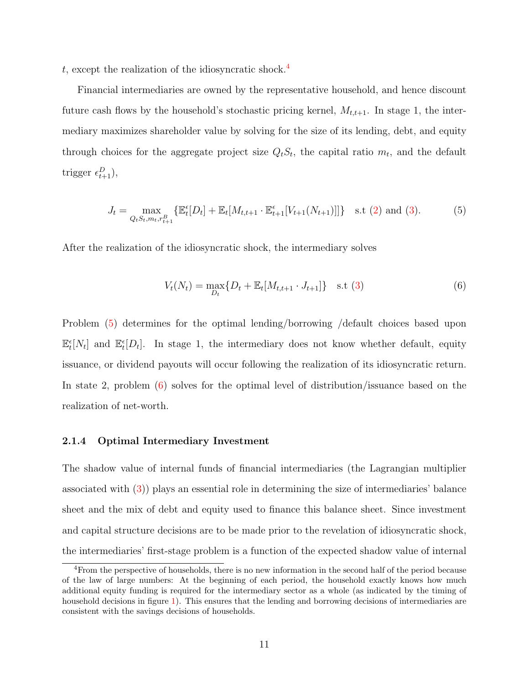t, except the realization of the idiosyncratic shock.<sup>[4](#page-0-0)</sup>

Financial intermediaries are owned by the representative household, and hence discount future cash flows by the household's stochastic pricing kernel,  $M_{t,t+1}$ . In stage 1, the intermediary maximizes shareholder value by solving for the size of its lending, debt, and equity through choices for the aggregate project size  $Q_tS_t$ , the capital ratio  $m_t$ , and the default trigger  $\epsilon_{t+1}^D$ ),

<span id="page-11-0"></span>
$$
J_t = \max_{Q_t S_t, m_t, r_{t+1}^B} \{ \mathbb{E}_t^{\epsilon}[D_t] + \mathbb{E}_t[M_{t,t+1} \cdot \mathbb{E}_{t+1}^{\epsilon}[V_{t+1}(N_{t+1})]] \} \text{ s.t (2) and (3).}
$$
 (5)

After the realization of the idiosyncratic shock, the intermediary solves

<span id="page-11-1"></span>
$$
V_t(N_t) = \max_{D_t} \{ D_t + \mathbb{E}_t[M_{t,t+1} \cdot J_{t+1}] \} \quad \text{s.t (3)}
$$

Problem [\(5\)](#page-11-0) determines for the optimal lending/borrowing /default choices based upon  $\mathbb{E}_{t}^{\epsilon}[N_{t}]$  and  $\mathbb{E}_{t}^{\epsilon}[D_{t}]$ . In stage 1, the intermediary does not know whether default, equity issuance, or dividend payouts will occur following the realization of its idiosyncratic return. In state 2, problem [\(6\)](#page-11-1) solves for the optimal level of distribution/issuance based on the realization of net-worth.

#### 2.1.4 Optimal Intermediary Investment

The shadow value of internal funds of financial intermediaries (the Lagrangian multiplier associated with [\(3\)](#page-9-0)) plays an essential role in determining the size of intermediaries' balance sheet and the mix of debt and equity used to finance this balance sheet. Since investment and capital structure decisions are to be made prior to the revelation of idiosyncratic shock, the intermediaries' first-stage problem is a function of the expected shadow value of internal

<sup>&</sup>lt;sup>4</sup>From the perspective of households, there is no new information in the second half of the period because of the law of large numbers: At the beginning of each period, the household exactly knows how much additional equity funding is required for the intermediary sector as a whole (as indicated by the timing of household decisions in figure [1\)](#page-6-0). This ensures that the lending and borrowing decisions of intermediaries are consistent with the savings decisions of households.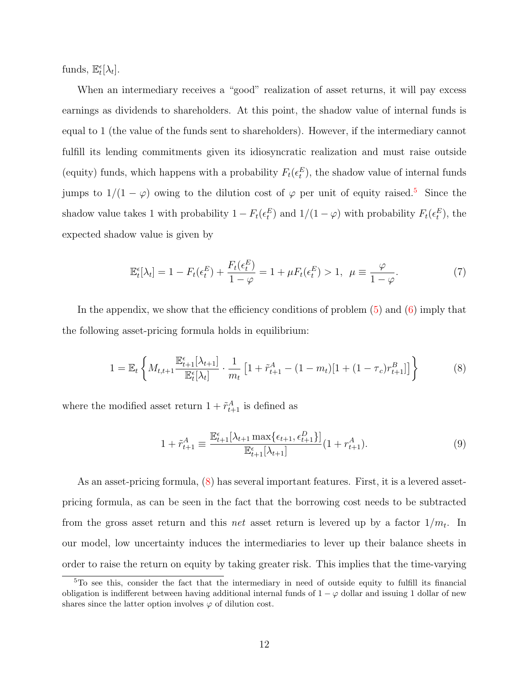funds,  $\mathbb{E}_{t}^{\epsilon}[\lambda_{t}].$ 

When an intermediary receives a "good" realization of asset returns, it will pay excess earnings as dividends to shareholders. At this point, the shadow value of internal funds is equal to 1 (the value of the funds sent to shareholders). However, if the intermediary cannot fulfill its lending commitments given its idiosyncratic realization and must raise outside (equity) funds, which happens with a probability  $F_t(\epsilon_t^E)$ , the shadow value of internal funds jumps to  $1/(1 - \varphi)$  owing to the dilution cost of  $\varphi$  per unit of equity raised.<sup>[5](#page-0-0)</sup> Since the shadow value takes 1 with probability  $1 - F_t(\epsilon_t^E)$  and  $1/(1 - \varphi)$  with probability  $F_t(\epsilon_t^E)$ , the expected shadow value is given by

<span id="page-12-0"></span>
$$
\mathbb{E}_t^{\epsilon}[\lambda_t] = 1 - F_t(\epsilon_t^E) + \frac{F_t(\epsilon_t^E)}{1 - \varphi} = 1 + \mu F_t(\epsilon_t^E) > 1, \ \ \mu \equiv \frac{\varphi}{1 - \varphi}.
$$

In the appendix, we show that the efficiency conditions of problem  $(5)$  and  $(6)$  imply that the following asset-pricing formula holds in equilibrium:

$$
1 = \mathbb{E}_t \left\{ M_{t,t+1} \frac{\mathbb{E}_{t+1}^{\epsilon}[\lambda_{t+1}]}{\mathbb{E}_t^{\epsilon}[\lambda_t]} \cdot \frac{1}{m_t} \left[ 1 + \tilde{r}_{t+1}^A - (1 - m_t)[1 + (1 - \tau_c)r_{t+1}^B] \right] \right\}
$$
(8)

where the modified asset return  $1 + \tilde{r}_{t+1}^A$  is defined as

<span id="page-12-1"></span>
$$
1 + \tilde{r}_{t+1}^A \equiv \frac{\mathbb{E}_{t+1}^{\epsilon}[\lambda_{t+1} \max\{\epsilon_{t+1}, \epsilon_{t+1}^D\}]}{\mathbb{E}_{t+1}^{\epsilon}[\lambda_{t+1}]}(1 + r_{t+1}^A). \tag{9}
$$

As an asset-pricing formula, [\(8\)](#page-12-0) has several important features. First, it is a levered assetpricing formula, as can be seen in the fact that the borrowing cost needs to be subtracted from the gross asset return and this *net* asset return is levered up by a factor  $1/m_t$ . In our model, low uncertainty induces the intermediaries to lever up their balance sheets in order to raise the return on equity by taking greater risk. This implies that the time-varying

<sup>5</sup>To see this, consider the fact that the intermediary in need of outside equity to fulfill its financial obligation is indifferent between having additional internal funds of  $1 - \varphi$  dollar and issuing 1 dollar of new shares since the latter option involves  $\varphi$  of dilution cost.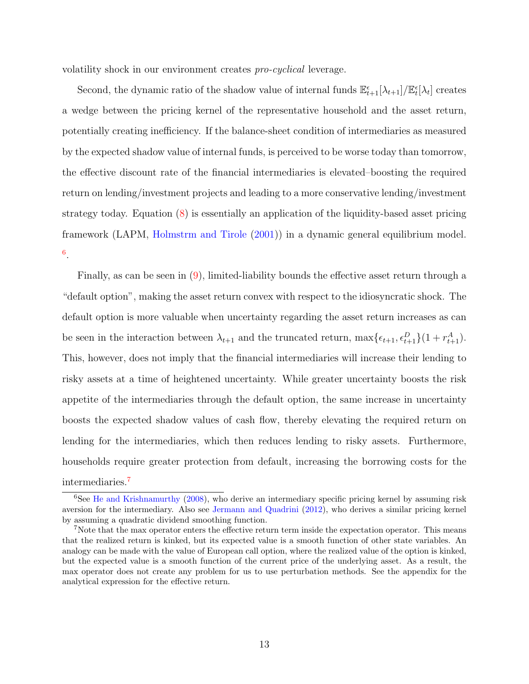volatility shock in our environment creates *pro-cyclical* leverage.

Second, the dynamic ratio of the shadow value of internal funds  $\mathbb{E}_{t+1}^{\epsilon}[\lambda_{t+1}]/\mathbb{E}_{t}^{\epsilon}[\lambda_{t}]$  creates a wedge between the pricing kernel of the representative household and the asset return, potentially creating inefficiency. If the balance-sheet condition of intermediaries as measured by the expected shadow value of internal funds, is perceived to be worse today than tomorrow, the effective discount rate of the financial intermediaries is elevated–boosting the required return on lending/investment projects and leading to a more conservative lending/investment strategy today. Equation [\(8\)](#page-12-0) is essentially an application of the liquidity-based asset pricing framework (LAPM, [Holmstrm and Tirole](#page-43-8) [\(2001\)](#page-43-8)) in a dynamic general equilibrium model. [6](#page-0-0) .

Finally, as can be seen in [\(9\)](#page-12-1), limited-liability bounds the effective asset return through a "default option", making the asset return convex with respect to the idiosyncratic shock. The default option is more valuable when uncertainty regarding the asset return increases as can be seen in the interaction between  $\lambda_{t+1}$  and the truncated return,  $\max\{\epsilon_{t+1}, \epsilon_{t+1}^D\}(1 + r_{t+1}^A)$ . This, however, does not imply that the financial intermediaries will increase their lending to risky assets at a time of heightened uncertainty. While greater uncertainty boosts the risk appetite of the intermediaries through the default option, the same increase in uncertainty boosts the expected shadow values of cash flow, thereby elevating the required return on lending for the intermediaries, which then reduces lending to risky assets. Furthermore, households require greater protection from default, increasing the borrowing costs for the intermediaries.[7](#page-0-0)

<sup>&</sup>lt;sup>6</sup>See [He and Krishnamurthy](#page-43-9) [\(2008\)](#page-43-9), who derive an intermediary specific pricing kernel by assuming risk aversion for the intermediary. Also see [Jermann and Quadrini](#page-43-10) [\(2012\)](#page-43-10), who derives a similar pricing kernel by assuming a quadratic dividend smoothing function.

<sup>7</sup>Note that the max operator enters the effective return term inside the expectation operator. This means that the realized return is kinked, but its expected value is a smooth function of other state variables. An analogy can be made with the value of European call option, where the realized value of the option is kinked, but the expected value is a smooth function of the current price of the underlying asset. As a result, the max operator does not create any problem for us to use perturbation methods. See the appendix for the analytical expression for the effective return.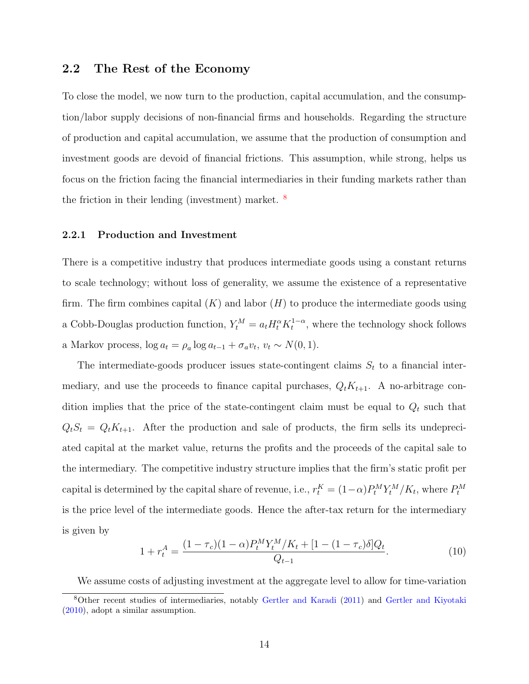### 2.2 The Rest of the Economy

To close the model, we now turn to the production, capital accumulation, and the consumption/labor supply decisions of non-financial firms and households. Regarding the structure of production and capital accumulation, we assume that the production of consumption and investment goods are devoid of financial frictions. This assumption, while strong, helps us focus on the friction facing the financial intermediaries in their funding markets rather than the friction in their lending (investment) market. [8](#page-0-0)

#### 2.2.1 Production and Investment

There is a competitive industry that produces intermediate goods using a constant returns to scale technology; without loss of generality, we assume the existence of a representative firm. The firm combines capital  $(K)$  and labor  $(H)$  to produce the intermediate goods using a Cobb-Douglas production function,  $Y_t^M = a_t H_t^{\alpha} K_t^{1-\alpha}$ , where the technology shock follows a Markov process,  $\log a_t = \rho_a \log a_{t-1} + \sigma_a v_t$ ,  $v_t \sim N(0, 1)$ .

The intermediate-goods producer issues state-contingent claims  $S_t$  to a financial intermediary, and use the proceeds to finance capital purchases,  $Q_tK_{t+1}$ . A no-arbitrage condition implies that the price of the state-contingent claim must be equal to  $Q_t$  such that  $Q_tS_t = Q_tK_{t+1}$ . After the production and sale of products, the firm sells its undepreciated capital at the market value, returns the profits and the proceeds of the capital sale to the intermediary. The competitive industry structure implies that the firm's static profit per capital is determined by the capital share of revenue, i.e.,  $r_t^K = (1-\alpha)P_t^M Y_t^M / K_t$ , where  $P_t^M$ is the price level of the intermediate goods. Hence the after-tax return for the intermediary is given by

$$
1 + r_t^A = \frac{(1 - \tau_c)(1 - \alpha)P_t^M Y_t^M / K_t + [1 - (1 - \tau_c)\delta]Q_t}{Q_{t-1}}.
$$
\n(10)

We assume costs of adjusting investment at the aggregate level to allow for time-variation

<sup>8</sup>Other recent studies of intermediaries, notably [Gertler and Karadi](#page-43-11) [\(2011\)](#page-43-11) and [Gertler and Kiyotaki](#page-43-2) [\(2010\)](#page-43-2), adopt a similar assumption.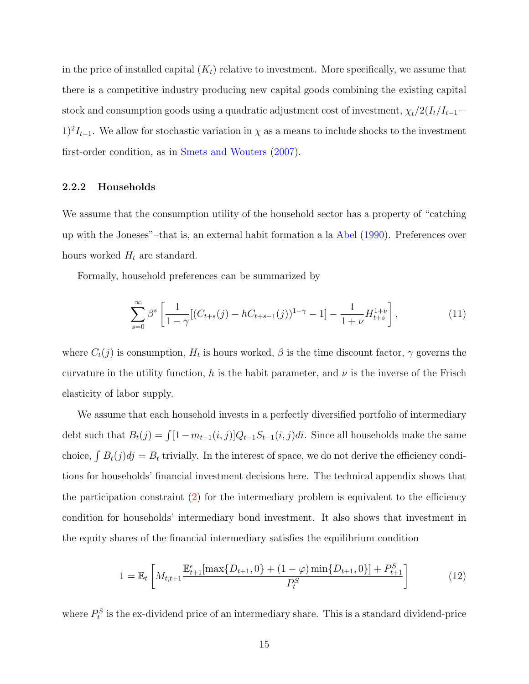in the price of installed capital  $(K_t)$  relative to investment. More specifically, we assume that there is a competitive industry producing new capital goods combining the existing capital stock and consumption goods using a quadratic adjustment cost of investment,  $\chi_t/2(I_t/I_{t-1} 1)^2 I_{t-1}$ . We allow for stochastic variation in  $\chi$  as a means to include shocks to the investment first-order condition, as in [Smets and Wouters](#page-44-8) [\(2007\)](#page-44-8).

#### 2.2.2 Households

We assume that the consumption utility of the household sector has a property of "catching up with the Joneses"–that is, an external habit formation a la [Abel](#page-41-2) [\(1990\)](#page-41-2). Preferences over hours worked  $H_t$  are standard.

Formally, household preferences can be summarized by

<span id="page-15-0"></span>
$$
\sum_{s=0}^{\infty} \beta^s \left[ \frac{1}{1-\gamma} [(C_{t+s}(j) - hC_{t+s-1}(j))^{1-\gamma} - 1] - \frac{1}{1+\nu} H_{t+s}^{1+\nu} \right],\tag{11}
$$

where  $C_t(j)$  is consumption,  $H_t$  is hours worked,  $\beta$  is the time discount factor,  $\gamma$  governs the curvature in the utility function, h is the habit parameter, and  $\nu$  is the inverse of the Frisch elasticity of labor supply.

We assume that each household invests in a perfectly diversified portfolio of intermediary debt such that  $B_t(j) = \int [1 - m_{t-1}(i, j)]Q_{t-1}S_{t-1}(i, j)di$ . Since all households make the same choice,  $\int B_t(j)dj = B_t$  trivially. In the interest of space, we do not derive the efficiency conditions for households' financial investment decisions here. The technical appendix shows that the participation constraint  $(2)$  for the intermediary problem is equivalent to the efficiency condition for households' intermediary bond investment. It also shows that investment in the equity shares of the financial intermediary satisfies the equilibrium condition

$$
1 = \mathbb{E}_t \left[ M_{t,t+1} \frac{\mathbb{E}_{t+1}^{\epsilon}[\max\{D_{t+1}, 0\} + (1 - \varphi) \min\{D_{t+1}, 0\}] + P_{t+1}^S}{P_t^S} \right]
$$
(12)

where  $P_t^S$  is the ex-dividend price of an intermediary share. This is a standard dividend-price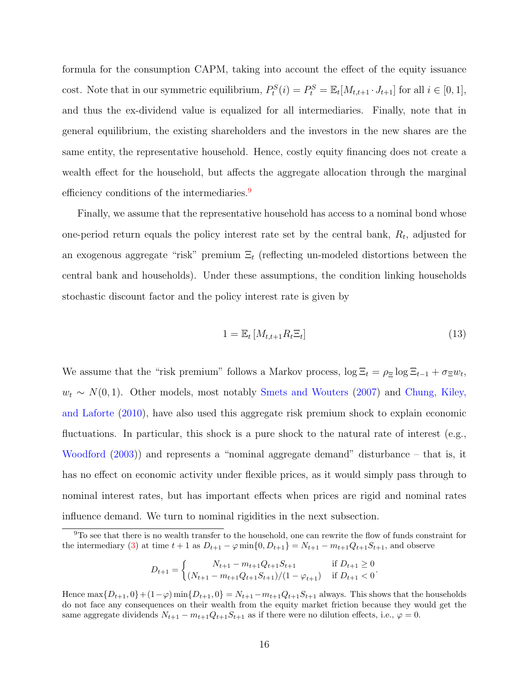formula for the consumption CAPM, taking into account the effect of the equity issuance cost. Note that in our symmetric equilibrium,  $P_t^S(i) = P_t^S = \mathbb{E}_t[M_{t,t+1} \cdot J_{t+1}]$  for all  $i \in [0,1]$ , and thus the ex-dividend value is equalized for all intermediaries. Finally, note that in general equilibrium, the existing shareholders and the investors in the new shares are the same entity, the representative household. Hence, costly equity financing does not create a wealth effect for the household, but affects the aggregate allocation through the marginal efficiency conditions of the intermediaries.<sup>[9](#page-0-0)</sup>

Finally, we assume that the representative household has access to a nominal bond whose one-period return equals the policy interest rate set by the central bank,  $R_t$ , adjusted for an exogenous aggregate "risk" premium  $\Xi_t$  (reflecting un-modeled distortions between the central bank and households). Under these assumptions, the condition linking households stochastic discount factor and the policy interest rate is given by

$$
1 = \mathbb{E}_t \left[ M_{t,t+1} R_t \Xi_t \right] \tag{13}
$$

We assume that the "risk premium" follows a Markov process,  $\log \Xi_t = \rho_\Xi \log \Xi_{t-1} + \sigma_\Xi w_t$ ,  $w_t \sim N(0, 1)$ . Other models, most notably [Smets and Wouters](#page-44-8) [\(2007\)](#page-44-8) and [Chung, Kiley,](#page-42-10) [and Laforte](#page-42-10) [\(2010\)](#page-42-10), have also used this aggregate risk premium shock to explain economic fluctuations. In particular, this shock is a pure shock to the natural rate of interest (e.g., [Woodford](#page-44-2) [\(2003\)](#page-44-2)) and represents a "nominal aggregate demand" disturbance – that is, it has no effect on economic activity under flexible prices, as it would simply pass through to nominal interest rates, but has important effects when prices are rigid and nominal rates influence demand. We turn to nominal rigidities in the next subsection.

$$
D_{t+1} = \begin{cases} N_{t+1} - m_{t+1}Q_{t+1}S_{t+1} & \text{if } D_{t+1} \ge 0\\ (N_{t+1} - m_{t+1}Q_{t+1}S_{t+1})/(1 - \varphi_{t+1}) & \text{if } D_{t+1} < 0 \end{cases}.
$$

<sup>&</sup>lt;sup>9</sup>To see that there is no wealth transfer to the household, one can rewrite the flow of funds constraint for the intermediary [\(3\)](#page-9-0) at time  $t + 1$  as  $D_{t+1} - \varphi \min\{0, D_{t+1}\} = N_{t+1} - m_{t+1}Q_{t+1}S_{t+1}$ , and observe

Hence  $\max\{D_{t+1}, 0\} + (1-\varphi)\min\{D_{t+1}, 0\} = N_{t+1} - m_{t+1}Q_{t+1}S_{t+1}$  always. This shows that the households do not face any consequences on their wealth from the equity market friction because they would get the same aggregate dividends  $N_{t+1} - m_{t+1}Q_{t+1}S_{t+1}$  as if there were no dilution effects, i.e.,  $\varphi = 0$ .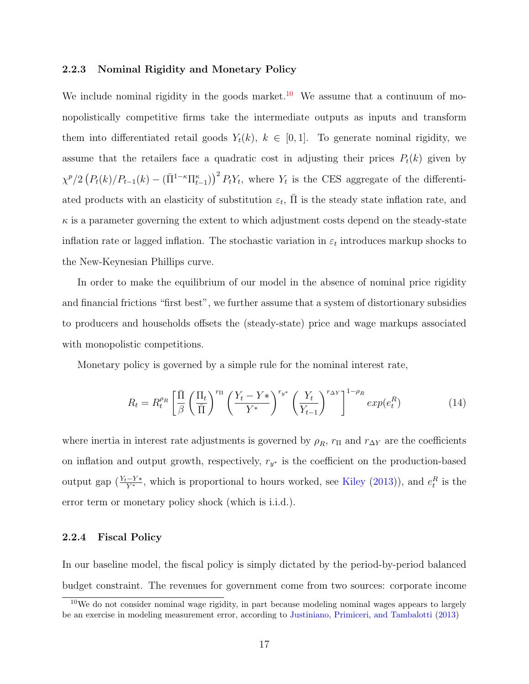#### 2.2.3 Nominal Rigidity and Monetary Policy

We include nominal rigidity in the goods market.<sup>[10](#page-0-0)</sup> We assume that a continuum of monopolistically competitive firms take the intermediate outputs as inputs and transform them into differentiated retail goods  $Y_t(k)$ ,  $k \in [0,1]$ . To generate nominal rigidity, we assume that the retailers face a quadratic cost in adjusting their prices  $P_t(k)$  given by  $\chi^p/2\left(P_t(k)/P_{t-1}(k)-\left(\bar{\Pi}^{1-\kappa}\Pi_{t-1}^{\kappa}\right)\right)^2P_tY_t$ , where  $Y_t$  is the CES aggregate of the differentiated products with an elasticity of substitution  $\varepsilon_t$ ,  $\bar{\Pi}$  is the steady state inflation rate, and  $\kappa$  is a parameter governing the extent to which adjustment costs depend on the steady-state inflation rate or lagged inflation. The stochastic variation in  $\varepsilon_t$  introduces markup shocks to the New-Keynesian Phillips curve.

In order to make the equilibrium of our model in the absence of nominal price rigidity and financial frictions "first best", we further assume that a system of distortionary subsidies to producers and households offsets the (steady-state) price and wage markups associated with monopolistic competitions.

Monetary policy is governed by a simple rule for the nominal interest rate,

$$
R_t = R_t^{\rho_R} \left[ \frac{\overline{\Pi}}{\beta} \left( \frac{\Pi_t}{\overline{\Pi}} \right)^{r_{\Pi}} \left( \frac{Y_t - Y^*}{Y^*} \right)^{r_{y^*}} \left( \frac{Y_t}{Y_{t-1}} \right)^{r_{\Delta Y}} \right]^{1-\rho_R} exp(e_t^R)
$$
(14)

where inertia in interest rate adjustments is governed by  $\rho_R$ ,  $r_\Pi$  and  $r_{\Delta Y}$  are the coefficients on inflation and output growth, respectively,  $r_{y^*}$  is the coefficient on the production-based output gap  $(\frac{Y_t-Y^*}{Y^*})$ , which is proportional to hours worked, see [Kiley](#page-44-9) [\(2013\)](#page-44-9)), and  $e_t^R$  is the error term or monetary policy shock (which is i.i.d.).

#### 2.2.4 Fiscal Policy

In our baseline model, the fiscal policy is simply dictated by the period-by-period balanced budget constraint. The revenues for government come from two sources: corporate income

 $10$ We do not consider nominal wage rigidity, in part because modeling nominal wages appears to largely be an exercise in modeling measurement error, according to [Justiniano, Primiceri, and Tambalotti](#page-43-12) [\(2013\)](#page-43-12)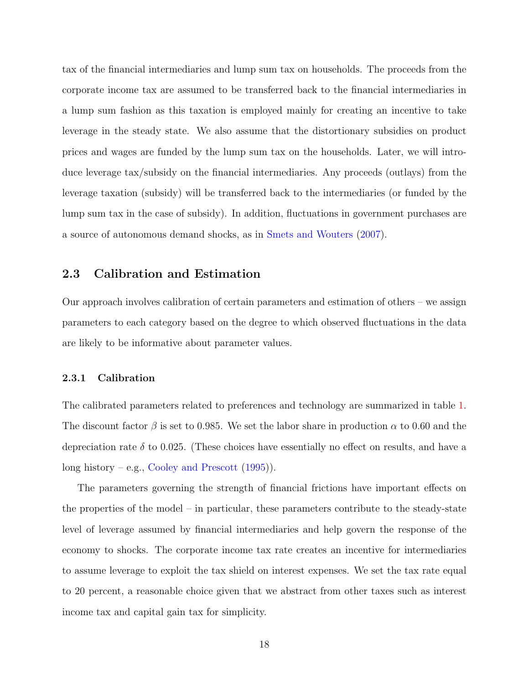tax of the financial intermediaries and lump sum tax on households. The proceeds from the corporate income tax are assumed to be transferred back to the financial intermediaries in a lump sum fashion as this taxation is employed mainly for creating an incentive to take leverage in the steady state. We also assume that the distortionary subsidies on product prices and wages are funded by the lump sum tax on the households. Later, we will introduce leverage tax/subsidy on the financial intermediaries. Any proceeds (outlays) from the leverage taxation (subsidy) will be transferred back to the intermediaries (or funded by the lump sum tax in the case of subsidy). In addition, fluctuations in government purchases are a source of autonomous demand shocks, as in [Smets and Wouters](#page-44-8) [\(2007\)](#page-44-8).

### 2.3 Calibration and Estimation

Our approach involves calibration of certain parameters and estimation of others – we assign parameters to each category based on the degree to which observed fluctuations in the data are likely to be informative about parameter values.

#### 2.3.1 Calibration

The calibrated parameters related to preferences and technology are summarized in table [1.](#page-19-0) The discount factor  $\beta$  is set to 0.985. We set the labor share in production  $\alpha$  to 0.60 and the depreciation rate  $\delta$  to 0.025. (These choices have essentially no effect on results, and have a long history – e.g., [Cooley and Prescott](#page-42-11) [\(1995\)](#page-42-11)).

The parameters governing the strength of financial frictions have important effects on the properties of the model – in particular, these parameters contribute to the steady-state level of leverage assumed by financial intermediaries and help govern the response of the economy to shocks. The corporate income tax rate creates an incentive for intermediaries to assume leverage to exploit the tax shield on interest expenses. We set the tax rate equal to 20 percent, a reasonable choice given that we abstract from other taxes such as interest income tax and capital gain tax for simplicity.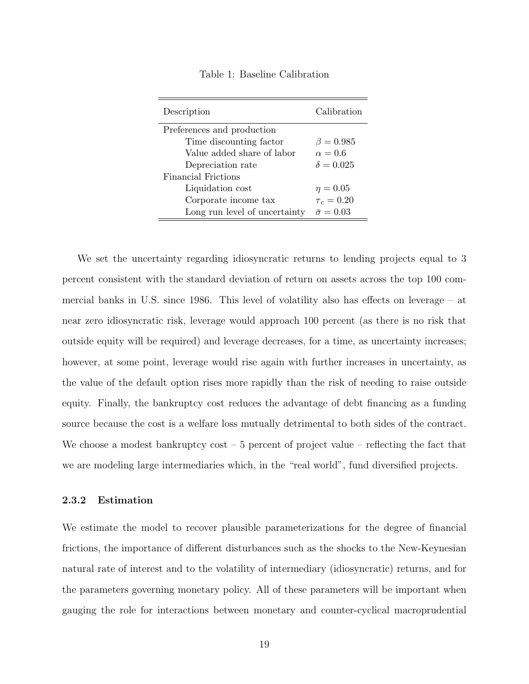| Description                   | Calibration           |
|-------------------------------|-----------------------|
| Preferences and production    |                       |
| Time discounting factor       | $\beta = 0.985$       |
| Value added share of labor    | $\alpha = 0.6$        |
| Depreciation rate             | $\delta = 0.025$      |
| Financial Frictions           |                       |
| Liquidation cost              | $\eta = 0.05$         |
| Corporate income tax          | $\tau_c = 0.20$       |
| Long run level of uncertainty | $\bar{\sigma} = 0.03$ |

<span id="page-19-0"></span>Table 1: Baseline Calibration

We set the uncertainty regarding idiosyncratic returns to lending projects equal to 3 percent consistent with the standard deviation of return on assets across the top 100 commercial banks in U.S. since 1986. This level of volatility also has effects on leverage – at near zero idiosyncratic risk, leverage would approach 100 percent (as there is no risk that outside equity will be required) and leverage decreases, for a time, as uncertainty increases; however, at some point, leverage would rise again with further increases in uncertainty, as the value of the default option rises more rapidly than the risk of needing to raise outside equity. Finally, the bankruptcy cost reduces the advantage of debt financing as a funding source because the cost is a welfare loss mutually detrimental to both sides of the contract. We choose a modest bankruptcy cost  $-5$  percent of project value  $-$  reflecting the fact that we are modeling large intermediaries which, in the "real world", fund diversified projects.

### 2.3.2 Estimation

We estimate the model to recover plausible parameterizations for the degree of financial frictions, the importance of different disturbances such as the shocks to the New-Keynesian natural rate of interest and to the volatility of intermediary (idiosyncratic) returns, and for the parameters governing monetary policy. All of these parameters will be important when gauging the role for interactions between monetary and counter-cyclical macroprudential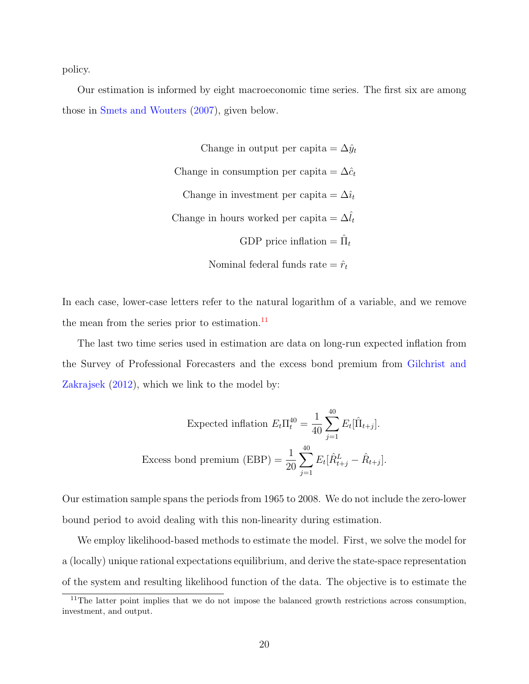policy.

Our estimation is informed by eight macroeconomic time series. The first six are among those in [Smets and Wouters](#page-44-8) [\(2007\)](#page-44-8), given below.

> Change in output per capita =  $\Delta \hat{y}_t$ Change in consumption per capita =  $\Delta \hat{c}_t$ Change in investment per capita =  $\Delta \hat{i}_t$ Change in hours worked per capita =  $\Delta l_t$ GDP price inflation =  $\hat{\Pi}_t$ Nominal federal funds rate  $=\hat{r}_t$

In each case, lower-case letters refer to the natural logarithm of a variable, and we remove the mean from the series prior to estimation. $^{11}$  $^{11}$  $^{11}$ 

The last two time series used in estimation are data on long-run expected inflation from the Survey of Professional Forecasters and the excess bond premium from [Gilchrist and](#page-43-0) [Zakrajsek](#page-43-0) [\(2012\)](#page-43-0), which we link to the model by:

Expected inflation 
$$
E_t \Pi_t^{40} = \frac{1}{40} \sum_{j=1}^{40} E_t[\hat{\Pi}_{t+j}].
$$
  
Excess bond premium (EBP) =  $\frac{1}{20} \sum_{j=1}^{40} E_t[\hat{R}_{t+j}^L - \hat{R}_{t+j}].$ 

Our estimation sample spans the periods from 1965 to 2008. We do not include the zero-lower bound period to avoid dealing with this non-linearity during estimation.

We employ likelihood-based methods to estimate the model. First, we solve the model for a (locally) unique rational expectations equilibrium, and derive the state-space representation of the system and resulting likelihood function of the data. The objective is to estimate the

<sup>&</sup>lt;sup>11</sup>The latter point implies that we do not impose the balanced growth restrictions across consumption, investment, and output.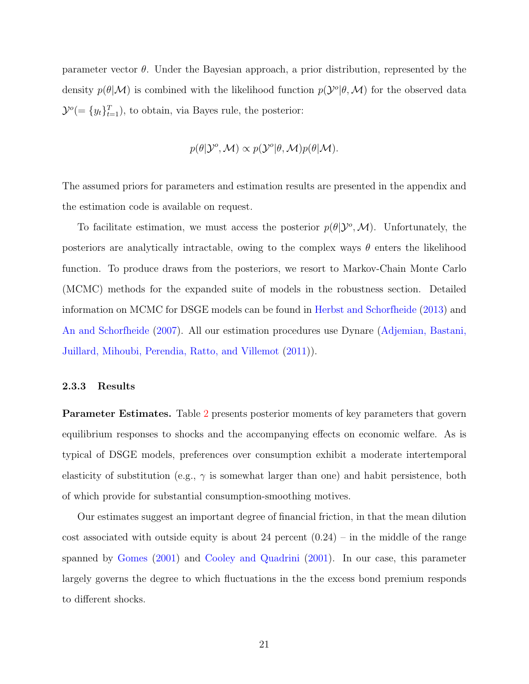parameter vector  $\theta$ . Under the Bayesian approach, a prior distribution, represented by the density  $p(\theta|\mathcal{M})$  is combined with the likelihood function  $p(\mathcal{Y}^o|\theta,\mathcal{M})$  for the observed data  $\mathcal{Y}^o(=\{y_t\}_{t=1}^T)$ , to obtain, via Bayes rule, the posterior:

$$
p(\theta|\mathcal{Y}^o, \mathcal{M}) \propto p(\mathcal{Y}^o|\theta, \mathcal{M})p(\theta|\mathcal{M}).
$$

The assumed priors for parameters and estimation results are presented in the appendix and the estimation code is available on request.

To facilitate estimation, we must access the posterior  $p(\theta|\mathcal{Y}^o,\mathcal{M})$ . Unfortunately, the posteriors are analytically intractable, owing to the complex ways  $\theta$  enters the likelihood function. To produce draws from the posteriors, we resort to Markov-Chain Monte Carlo (MCMC) methods for the expanded suite of models in the robustness section. Detailed information on MCMC for DSGE models can be found in [Herbst and Schorfheide](#page-43-13) [\(2013\)](#page-43-13) and [An and Schorfheide](#page-41-3) [\(2007\)](#page-41-3). All our estimation procedures use Dynare [\(Adjemian, Bastani,](#page-41-4) [Juillard, Mihoubi, Perendia, Ratto, and Villemot](#page-41-4) [\(2011\)](#page-41-4)).

#### 2.3.3 Results

Parameter Estimates. Table [2](#page-22-0) presents posterior moments of key parameters that govern equilibrium responses to shocks and the accompanying effects on economic welfare. As is typical of DSGE models, preferences over consumption exhibit a moderate intertemporal elasticity of substitution (e.g.,  $\gamma$  is somewhat larger than one) and habit persistence, both of which provide for substantial consumption-smoothing motives.

Our estimates suggest an important degree of financial friction, in that the mean dilution cost associated with outside equity is about 24 percent  $(0.24)$  – in the middle of the range spanned by [Gomes](#page-43-14) [\(2001\)](#page-43-14) and [Cooley and Quadrini](#page-42-12) [\(2001\)](#page-42-12). In our case, this parameter largely governs the degree to which fluctuations in the the excess bond premium responds to different shocks.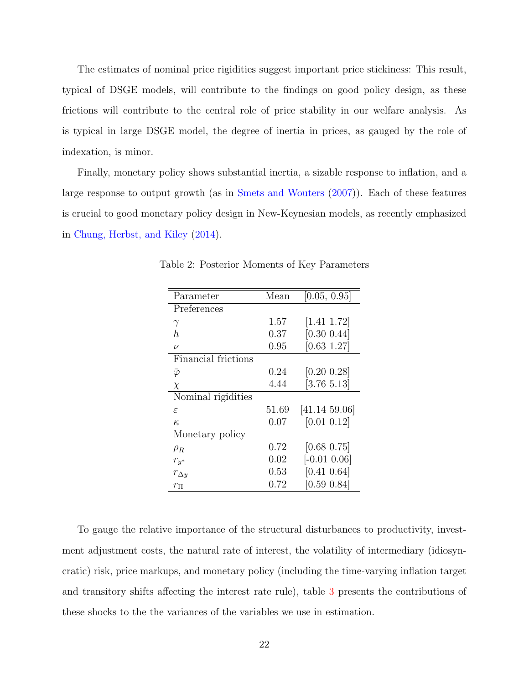The estimates of nominal price rigidities suggest important price stickiness: This result, typical of DSGE models, will contribute to the findings on good policy design, as these frictions will contribute to the central role of price stability in our welfare analysis. As is typical in large DSGE model, the degree of inertia in prices, as gauged by the role of indexation, is minor.

Finally, monetary policy shows substantial inertia, a sizable response to inflation, and a large response to output growth (as in [Smets and Wouters](#page-44-8) [\(2007\)](#page-44-8)). Each of these features is crucial to good monetary policy design in New-Keynesian models, as recently emphasized in [Chung, Herbst, and Kiley](#page-42-13) [\(2014\)](#page-42-13).

| Parameter           | Mean  | [0.05, 0.95]     |
|---------------------|-------|------------------|
| Preferences         |       |                  |
| $\gamma$            | 1.57  | $[1.41 \; 1.72]$ |
| h.                  | 0.37  | [0.30 0.44]      |
| $\nu$               | 0.95  | $[0.63 \; 1.27]$ |
| Financial frictions |       |                  |
| $\bar{\varphi}$     | 0.24  | [0.20 0.28]      |
| $\chi$              | 4.44  | $[3.76\;5.13]$   |
| Nominal rigidities  |       |                  |
| $\epsilon$          | 51.69 | [41.14 59.06]    |
| $\kappa$            | 0.07  | $[0.01 \ 0.12]$  |
| Monetary policy     |       |                  |
| $\rho_R$            | 0.72  | $[0.68 \; 0.75]$ |
| $r_{y^*}$           | 0.02  | $[-0.01\ 0.06]$  |
| $r_{\Delta y}$      | 0.53  | [0.41 0.64]      |
| $r_{\Pi}$           | 0.72  | [0.59 0.84]      |

<span id="page-22-0"></span>Table 2: Posterior Moments of Key Parameters

To gauge the relative importance of the structural disturbances to productivity, investment adjustment costs, the natural rate of interest, the volatility of intermediary (idiosyncratic) risk, price markups, and monetary policy (including the time-varying inflation target and transitory shifts affecting the interest rate rule), table [3](#page-24-0) presents the contributions of these shocks to the the variances of the variables we use in estimation.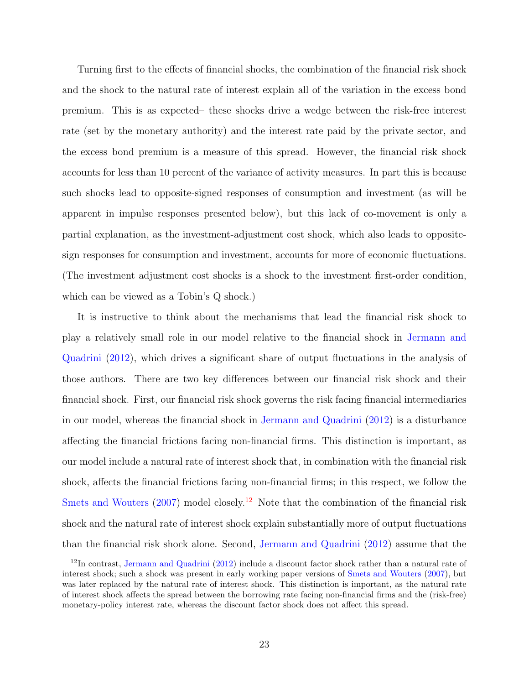Turning first to the effects of financial shocks, the combination of the financial risk shock and the shock to the natural rate of interest explain all of the variation in the excess bond premium. This is as expected– these shocks drive a wedge between the risk-free interest rate (set by the monetary authority) and the interest rate paid by the private sector, and the excess bond premium is a measure of this spread. However, the financial risk shock accounts for less than 10 percent of the variance of activity measures. In part this is because such shocks lead to opposite-signed responses of consumption and investment (as will be apparent in impulse responses presented below), but this lack of co-movement is only a partial explanation, as the investment-adjustment cost shock, which also leads to oppositesign responses for consumption and investment, accounts for more of economic fluctuations. (The investment adjustment cost shocks is a shock to the investment first-order condition, which can be viewed as a Tobin's Q shock.)

It is instructive to think about the mechanisms that lead the financial risk shock to play a relatively small role in our model relative to the financial shock in [Jermann and](#page-43-10) [Quadrini](#page-43-10) [\(2012\)](#page-43-10), which drives a significant share of output fluctuations in the analysis of those authors. There are two key differences between our financial risk shock and their financial shock. First, our financial risk shock governs the risk facing financial intermediaries in our model, whereas the financial shock in [Jermann and Quadrini](#page-43-10) [\(2012\)](#page-43-10) is a disturbance affecting the financial frictions facing non-financial firms. This distinction is important, as our model include a natural rate of interest shock that, in combination with the financial risk shock, affects the financial frictions facing non-financial firms; in this respect, we follow the [Smets and Wouters](#page-44-8)  $(2007)$  model closely.<sup>[12](#page-0-0)</sup> Note that the combination of the financial risk shock and the natural rate of interest shock explain substantially more of output fluctuations than the financial risk shock alone. Second, [Jermann and Quadrini](#page-43-10) [\(2012\)](#page-43-10) assume that the

<sup>12</sup>In contrast, [Jermann and Quadrini](#page-43-10) [\(2012\)](#page-43-10) include a discount factor shock rather than a natural rate of interest shock; such a shock was present in early working paper versions of [Smets and Wouters](#page-44-8) [\(2007\)](#page-44-8), but was later replaced by the natural rate of interest shock. This distinction is important, as the natural rate of interest shock affects the spread between the borrowing rate facing non-financial firms and the (risk-free) monetary-policy interest rate, whereas the discount factor shock does not affect this spread.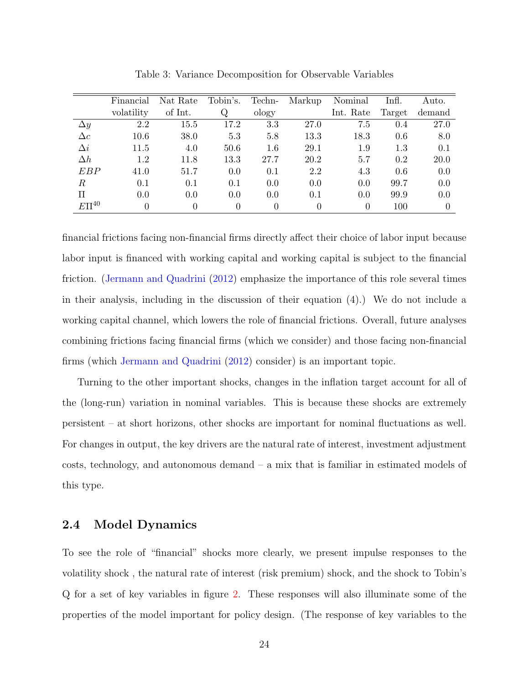|             | Financial  | Nat Rate | Tobin's. | Techn-  | Markup | Nominal   | Infl.  | Auto.  |
|-------------|------------|----------|----------|---------|--------|-----------|--------|--------|
|             | volatility | of Int.  | Q        | ology   |        | Int. Rate | Target | demand |
| $\Delta y$  | 2.2        | 15.5     | 17.2     | 3.3     | 27.0   | 7.5       | 0.4    | 27.0   |
| $\Delta c$  | 10.6       | 38.0     | 5.3      | 5.8     | 13.3   | 18.3      | 0.6    | 8.0    |
| $\Delta i$  | 11.5       | 4.0      | 50.6     | $1.6\,$ | 29.1   | 1.9       | 1.3    | 0.1    |
| $\Delta h$  | 1.2        | 11.8     | 13.3     | 27.7    | 20.2   | 5.7       | 0.2    | 20.0   |
| EBP         | 41.0       | 51.7     | 0.0      | 0.1     | 2.2    | 4.3       | 0.6    | 0.0    |
| R           | 0.1        | 0.1      | 0.1      | 0.0     | 0.0    | 0.0       | 99.7   | 0.0    |
|             | 0.0        | 0.0      | 0.0      | 0.0     | 0.1    | 0.0       | 99.9   | 0.0    |
| $E\Pi^{40}$ | $\theta$   |          | $\Omega$ |         | 0      | $\Omega$  | 100    |        |

<span id="page-24-0"></span>Table 3: Variance Decomposition for Observable Variables

financial frictions facing non-financial firms directly affect their choice of labor input because labor input is financed with working capital and working capital is subject to the financial friction. [\(Jermann and Quadrini](#page-43-10) [\(2012\)](#page-43-10) emphasize the importance of this role several times in their analysis, including in the discussion of their equation (4).) We do not include a working capital channel, which lowers the role of financial frictions. Overall, future analyses combining frictions facing financial firms (which we consider) and those facing non-financial firms (which [Jermann and Quadrini](#page-43-10) [\(2012\)](#page-43-10) consider) is an important topic.

Turning to the other important shocks, changes in the inflation target account for all of the (long-run) variation in nominal variables. This is because these shocks are extremely persistent – at short horizons, other shocks are important for nominal fluctuations as well. For changes in output, the key drivers are the natural rate of interest, investment adjustment costs, technology, and autonomous demand – a mix that is familiar in estimated models of this type.

### 2.4 Model Dynamics

To see the role of "financial" shocks more clearly, we present impulse responses to the volatility shock , the natural rate of interest (risk premium) shock, and the shock to Tobin's Q for a set of key variables in figure [2.](#page-26-0) These responses will also illuminate some of the properties of the model important for policy design. (The response of key variables to the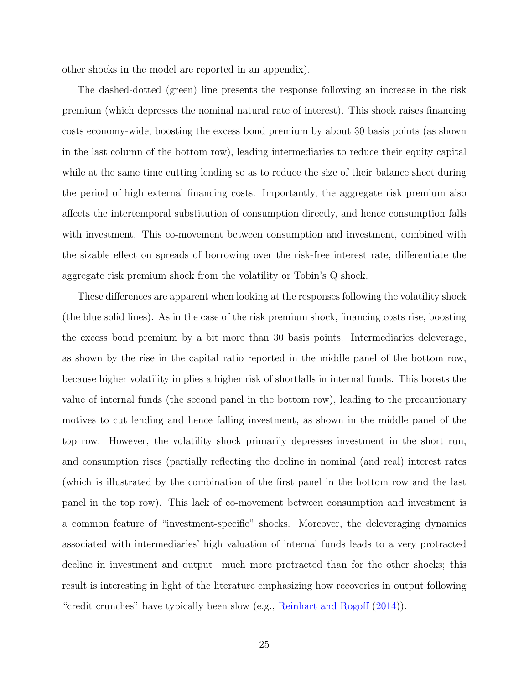other shocks in the model are reported in an appendix).

The dashed-dotted (green) line presents the response following an increase in the risk premium (which depresses the nominal natural rate of interest). This shock raises financing costs economy-wide, boosting the excess bond premium by about 30 basis points (as shown in the last column of the bottom row), leading intermediaries to reduce their equity capital while at the same time cutting lending so as to reduce the size of their balance sheet during the period of high external financing costs. Importantly, the aggregate risk premium also affects the intertemporal substitution of consumption directly, and hence consumption falls with investment. This co-movement between consumption and investment, combined with the sizable effect on spreads of borrowing over the risk-free interest rate, differentiate the aggregate risk premium shock from the volatility or Tobin's Q shock.

These differences are apparent when looking at the responses following the volatility shock (the blue solid lines). As in the case of the risk premium shock, financing costs rise, boosting the excess bond premium by a bit more than 30 basis points. Intermediaries deleverage, as shown by the rise in the capital ratio reported in the middle panel of the bottom row, because higher volatility implies a higher risk of shortfalls in internal funds. This boosts the value of internal funds (the second panel in the bottom row), leading to the precautionary motives to cut lending and hence falling investment, as shown in the middle panel of the top row. However, the volatility shock primarily depresses investment in the short run, and consumption rises (partially reflecting the decline in nominal (and real) interest rates (which is illustrated by the combination of the first panel in the bottom row and the last panel in the top row). This lack of co-movement between consumption and investment is a common feature of "investment-specific" shocks. Moreover, the deleveraging dynamics associated with intermediaries' high valuation of internal funds leads to a very protracted decline in investment and output– much more protracted than for the other shocks; this result is interesting in light of the literature emphasizing how recoveries in output following "credit crunches" have typically been slow (e.g., [Reinhart and Rogoff](#page-44-10) [\(2014\)](#page-44-10)).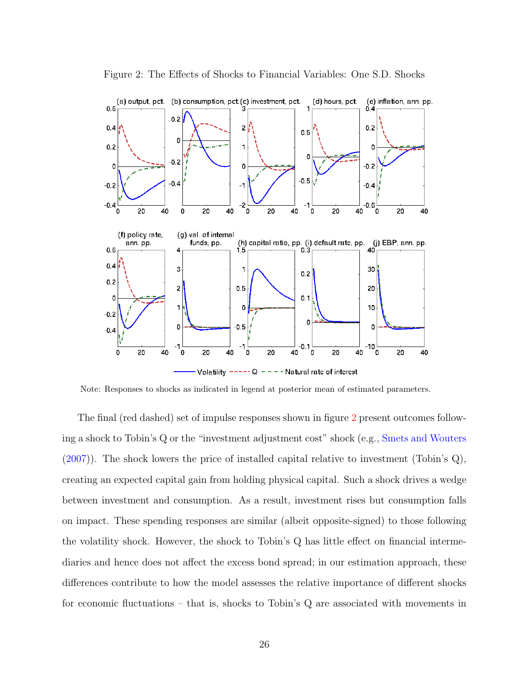

<span id="page-26-0"></span>Figure 2: The Effects of Shocks to Financial Variables: One S.D. Shocks

Note: Responses to shocks as indicated in legend at posterior mean of estimated parameters.

The final (red dashed) set of impulse responses shown in figure [2](#page-26-0) present outcomes following a shock to Tobin's Q or the "investment adjustment cost" shock (e.g., [Smets and Wouters](#page-44-8) [\(2007\)](#page-44-8)). The shock lowers the price of installed capital relative to investment (Tobin's Q), creating an expected capital gain from holding physical capital. Such a shock drives a wedge between investment and consumption. As a result, investment rises but consumption falls on impact. These spending responses are similar (albeit opposite-signed) to those following the volatility shock. However, the shock to Tobin's Q has little effect on financial intermediaries and hence does not affect the excess bond spread; in our estimation approach, these differences contribute to how the model assesses the relative importance of different shocks for economic fluctuations – that is, shocks to Tobin's Q are associated with movements in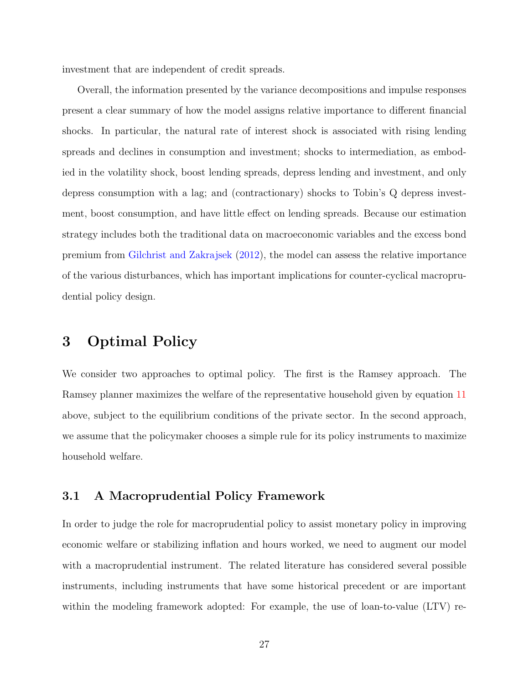investment that are independent of credit spreads.

Overall, the information presented by the variance decompositions and impulse responses present a clear summary of how the model assigns relative importance to different financial shocks. In particular, the natural rate of interest shock is associated with rising lending spreads and declines in consumption and investment; shocks to intermediation, as embodied in the volatility shock, boost lending spreads, depress lending and investment, and only depress consumption with a lag; and (contractionary) shocks to Tobin's Q depress investment, boost consumption, and have little effect on lending spreads. Because our estimation strategy includes both the traditional data on macroeconomic variables and the excess bond premium from [Gilchrist and Zakrajsek](#page-43-0) [\(2012\)](#page-43-0), the model can assess the relative importance of the various disturbances, which has important implications for counter-cyclical macroprudential policy design.

### 3 Optimal Policy

We consider two approaches to optimal policy. The first is the Ramsey approach. The Ramsey planner maximizes the welfare of the representative household given by equation [11](#page-15-0) above, subject to the equilibrium conditions of the private sector. In the second approach, we assume that the policymaker chooses a simple rule for its policy instruments to maximize household welfare.

### 3.1 A Macroprudential Policy Framework

In order to judge the role for macroprudential policy to assist monetary policy in improving economic welfare or stabilizing inflation and hours worked, we need to augment our model with a macroprudential instrument. The related literature has considered several possible instruments, including instruments that have some historical precedent or are important within the modeling framework adopted: For example, the use of loan-to-value (LTV) re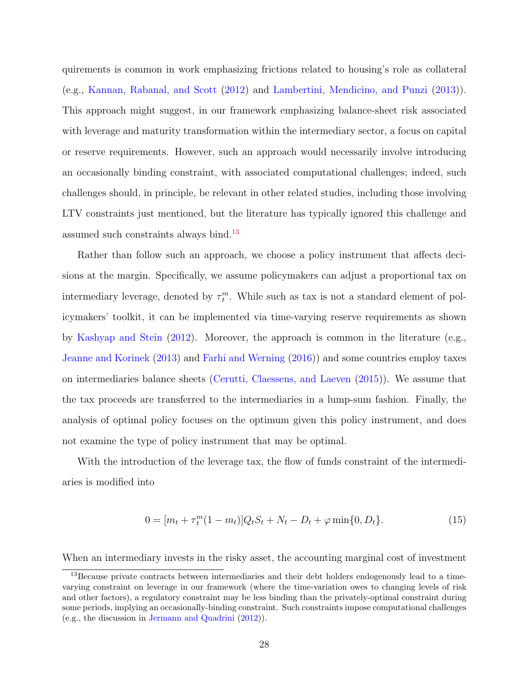quirements is common in work emphasizing frictions related to housing's role as collateral (e.g., [Kannan, Rabanal, and Scott](#page-43-6) [\(2012\)](#page-43-6) and [Lambertini, Mendicino, and Punzi](#page-44-4) [\(2013\)](#page-44-4)). This approach might suggest, in our framework emphasizing balance-sheet risk associated with leverage and maturity transformation within the intermediary sector, a focus on capital or reserve requirements. However, such an approach would necessarily involve introducing an occasionally binding constraint, with associated computational challenges; indeed, such challenges should, in principle, be relevant in other related studies, including those involving LTV constraints just mentioned, but the literature has typically ignored this challenge and assumed such constraints always bind.<sup>[13](#page-0-0)</sup>

Rather than follow such an approach, we choose a policy instrument that affects decisions at the margin. Specifically, we assume policymakers can adjust a proportional tax on intermediary leverage, denoted by  $\tau_t^m$ . While such as tax is not a standard element of policymakers' toolkit, it can be implemented via time-varying reserve requirements as shown by [Kashyap and Stein](#page-44-11) [\(2012\)](#page-44-11). Moreover, the approach is common in the literature (e.g., [Jeanne and Korinek](#page-43-1) [\(2013\)](#page-43-1) and [Farhi and Werning](#page-42-1) [\(2016\)](#page-42-1)) and some countries employ taxes on intermediaries balance sheets [\(Cerutti, Claessens, and Laeven](#page-42-2) [\(2015\)](#page-42-2)). We assume that the tax proceeds are transferred to the intermediaries in a lump-sum fashion. Finally, the analysis of optimal policy focuses on the optimum given this policy instrument, and does not examine the type of policy instrument that may be optimal.

With the introduction of the leverage tax, the flow of funds constraint of the intermediaries is modified into

$$
0 = [m_t + \tau_t^m (1 - m_t)] Q_t S_t + N_t - D_t + \varphi \min\{0, D_t\}.
$$
 (15)

When an intermediary invests in the risky asset, the accounting marginal cost of investment

<sup>&</sup>lt;sup>13</sup>Because private contracts between intermediaries and their debt holders endogenously lead to a timevarying constraint on leverage in our framework (where the time-variation owes to changing levels of risk and other factors), a regulatory constraint may be less binding than the privately-optimal constraint during some periods, implying an occasionally-binding constraint. Such constraints impose computational challenges (e.g., the discussion in [Jermann and Quadrini](#page-43-10) [\(2012\)](#page-43-10)).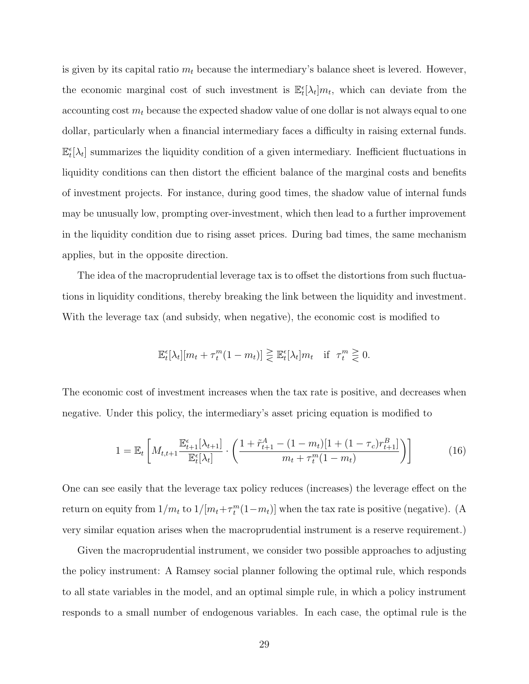is given by its capital ratio  $m_t$  because the intermediary's balance sheet is levered. However, the economic marginal cost of such investment is  $\mathbb{E}_{t}^{\epsilon}[\lambda_{t}]m_{t}$ , which can deviate from the accounting cost  $m_t$  because the expected shadow value of one dollar is not always equal to one dollar, particularly when a financial intermediary faces a difficulty in raising external funds.  $\mathbb{E}_{t}^{\epsilon}[\lambda_{t}]$  summarizes the liquidity condition of a given intermediary. Inefficient fluctuations in liquidity conditions can then distort the efficient balance of the marginal costs and benefits of investment projects. For instance, during good times, the shadow value of internal funds may be unusually low, prompting over-investment, which then lead to a further improvement in the liquidity condition due to rising asset prices. During bad times, the same mechanism applies, but in the opposite direction.

The idea of the macroprudential leverage tax is to offset the distortions from such fluctuations in liquidity conditions, thereby breaking the link between the liquidity and investment. With the leverage tax (and subsidy, when negative), the economic cost is modified to

$$
\mathbb{E}_t^{\epsilon}[\lambda_t][m_t + \tau_t^m(1 - m_t)] \geq \mathbb{E}_t^{\epsilon}[\lambda_t]m_t \quad \text{if} \quad \tau_t^m \geq 0.
$$

The economic cost of investment increases when the tax rate is positive, and decreases when negative. Under this policy, the intermediary's asset pricing equation is modified to

$$
1 = \mathbb{E}_t \left[ M_{t,t+1} \frac{\mathbb{E}_{t+1}^{\epsilon}[\lambda_{t+1}]}{\mathbb{E}_t^{\epsilon}[\lambda_t]} \cdot \left( \frac{1 + \tilde{r}_{t+1}^A - (1 - m_t)[1 + (1 - \tau_c)r_{t+1}^B]}{m_t + \tau_t^m (1 - m_t)} \right) \right]
$$
(16)

One can see easily that the leverage tax policy reduces (increases) the leverage effect on the return on equity from  $1/m_t$  to  $1/[m_t + \tau_t^m(1-m_t)]$  when the tax rate is positive (negative). (A very similar equation arises when the macroprudential instrument is a reserve requirement.)

Given the macroprudential instrument, we consider two possible approaches to adjusting the policy instrument: A Ramsey social planner following the optimal rule, which responds to all state variables in the model, and an optimal simple rule, in which a policy instrument responds to a small number of endogenous variables. In each case, the optimal rule is the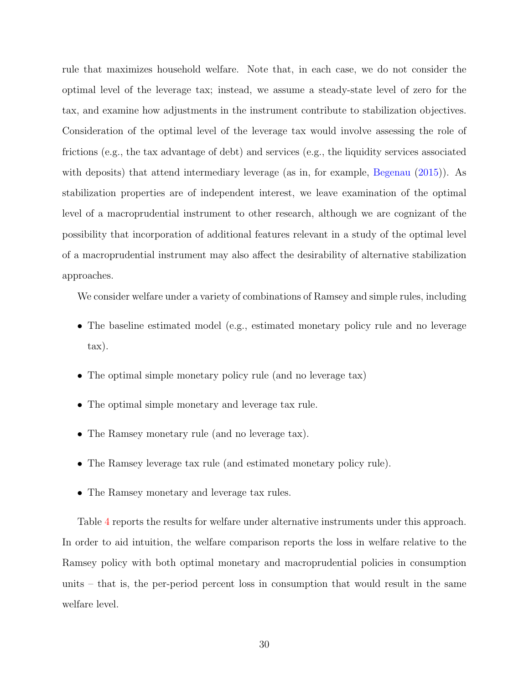rule that maximizes household welfare. Note that, in each case, we do not consider the optimal level of the leverage tax; instead, we assume a steady-state level of zero for the tax, and examine how adjustments in the instrument contribute to stabilization objectives. Consideration of the optimal level of the leverage tax would involve assessing the role of frictions (e.g., the tax advantage of debt) and services (e.g., the liquidity services associated with deposits) that attend intermediary leverage (as in, for example, [Begenau](#page-41-5) [\(2015\)](#page-41-5)). As stabilization properties are of independent interest, we leave examination of the optimal level of a macroprudential instrument to other research, although we are cognizant of the possibility that incorporation of additional features relevant in a study of the optimal level of a macroprudential instrument may also affect the desirability of alternative stabilization approaches.

We consider welfare under a variety of combinations of Ramsey and simple rules, including

- The baseline estimated model (e.g., estimated monetary policy rule and no leverage tax).
- The optimal simple monetary policy rule (and no leverage tax)
- The optimal simple monetary and leverage tax rule.
- The Ramsey monetary rule (and no leverage tax).
- The Ramsey leverage tax rule (and estimated monetary policy rule).
- The Ramsey monetary and leverage tax rules.

Table [4](#page-31-0) reports the results for welfare under alternative instruments under this approach. In order to aid intuition, the welfare comparison reports the loss in welfare relative to the Ramsey policy with both optimal monetary and macroprudential policies in consumption units – that is, the per-period percent loss in consumption that would result in the same welfare level.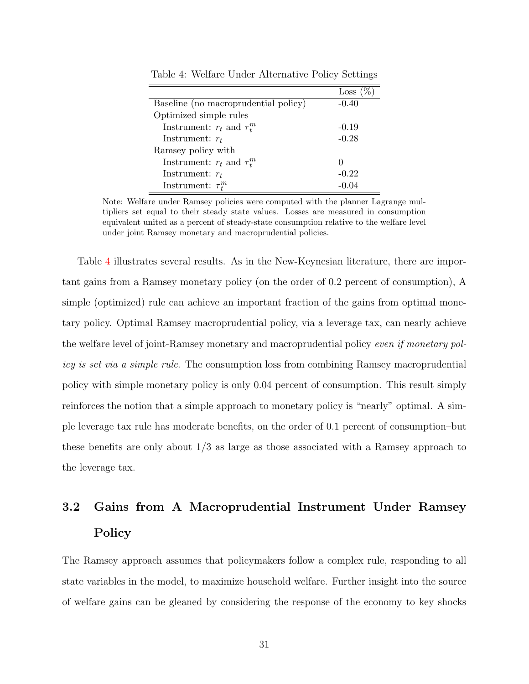|                                      | Loss    |
|--------------------------------------|---------|
| Baseline (no macroprudential policy) | $-0.40$ |
| Optimized simple rules               |         |
| Instrument: $r_t$ and $\tau_t^m$     | $-0.19$ |
| Instrument: $r_t$                    | $-0.28$ |
| Ramsey policy with                   |         |
| Instrument: $r_t$ and $\tau_t^m$     |         |
| Instrument: $r_t$                    | $-0.22$ |
| Instrument: $\tau_t^m$               |         |

<span id="page-31-0"></span>Table 4: Welfare Under Alternative Policy Settings

Note: Welfare under Ramsey policies were computed with the planner Lagrange multipliers set equal to their steady state values. Losses are measured in consumption equivalent united as a percent of steady-state consumption relative to the welfare level under joint Ramsey monetary and macroprudential policies.

Table [4](#page-31-0) illustrates several results. As in the New-Keynesian literature, there are important gains from a Ramsey monetary policy (on the order of 0.2 percent of consumption), A simple (optimized) rule can achieve an important fraction of the gains from optimal monetary policy. Optimal Ramsey macroprudential policy, via a leverage tax, can nearly achieve the welfare level of joint-Ramsey monetary and macroprudential policy even if monetary policy is set via a simple rule. The consumption loss from combining Ramsey macroprudential policy with simple monetary policy is only 0.04 percent of consumption. This result simply reinforces the notion that a simple approach to monetary policy is "nearly" optimal. A simple leverage tax rule has moderate benefits, on the order of 0.1 percent of consumption–but these benefits are only about 1/3 as large as those associated with a Ramsey approach to the leverage tax.

# 3.2 Gains from A Macroprudential Instrument Under Ramsey Policy

The Ramsey approach assumes that policymakers follow a complex rule, responding to all state variables in the model, to maximize household welfare. Further insight into the source of welfare gains can be gleaned by considering the response of the economy to key shocks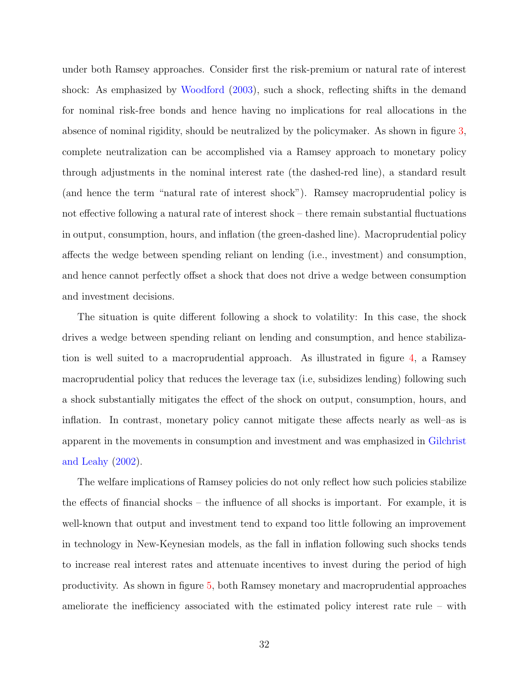under both Ramsey approaches. Consider first the risk-premium or natural rate of interest shock: As emphasized by [Woodford](#page-44-2) [\(2003\)](#page-44-2), such a shock, reflecting shifts in the demand for nominal risk-free bonds and hence having no implications for real allocations in the absence of nominal rigidity, should be neutralized by the policymaker. As shown in figure [3,](#page-33-0) complete neutralization can be accomplished via a Ramsey approach to monetary policy through adjustments in the nominal interest rate (the dashed-red line), a standard result (and hence the term "natural rate of interest shock"). Ramsey macroprudential policy is not effective following a natural rate of interest shock – there remain substantial fluctuations in output, consumption, hours, and inflation (the green-dashed line). Macroprudential policy affects the wedge between spending reliant on lending (i.e., investment) and consumption, and hence cannot perfectly offset a shock that does not drive a wedge between consumption and investment decisions.

The situation is quite different following a shock to volatility: In this case, the shock drives a wedge between spending reliant on lending and consumption, and hence stabilization is well suited to a macroprudential approach. As illustrated in figure [4,](#page-34-0) a Ramsey macroprudential policy that reduces the leverage tax (i.e, subsidizes lending) following such a shock substantially mitigates the effect of the shock on output, consumption, hours, and inflation. In contrast, monetary policy cannot mitigate these affects nearly as well–as is apparent in the movements in consumption and investment and was emphasized in [Gilchrist](#page-43-4) [and Leahy](#page-43-4) [\(2002\)](#page-43-4).

The welfare implications of Ramsey policies do not only reflect how such policies stabilize the effects of financial shocks – the influence of all shocks is important. For example, it is well-known that output and investment tend to expand too little following an improvement in technology in New-Keynesian models, as the fall in inflation following such shocks tends to increase real interest rates and attenuate incentives to invest during the period of high productivity. As shown in figure [5,](#page-35-0) both Ramsey monetary and macroprudential approaches ameliorate the inefficiency associated with the estimated policy interest rate rule – with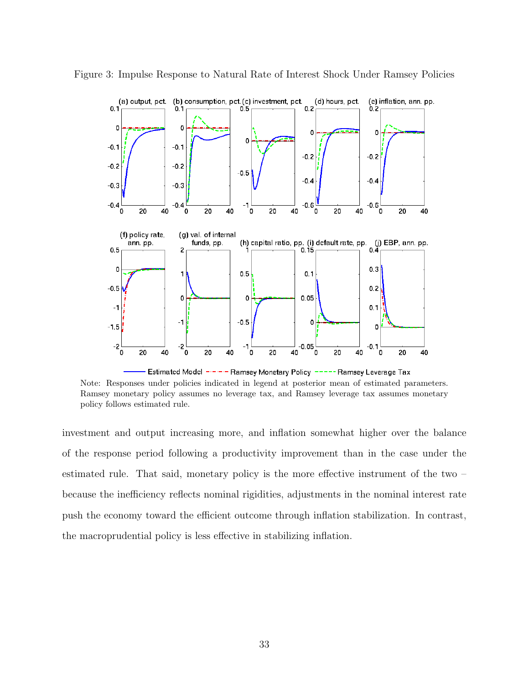<span id="page-33-0"></span>

Figure 3: Impulse Response to Natural Rate of Interest Shock Under Ramsey Policies

Note: Responses under policies indicated in legend at posterior mean of estimated parameters. Ramsey monetary policy assumes no leverage tax, and Ramsey leverage tax assumes monetary policy follows estimated rule.

investment and output increasing more, and inflation somewhat higher over the balance of the response period following a productivity improvement than in the case under the estimated rule. That said, monetary policy is the more effective instrument of the two – because the inefficiency reflects nominal rigidities, adjustments in the nominal interest rate push the economy toward the efficient outcome through inflation stabilization. In contrast, the macroprudential policy is less effective in stabilizing inflation.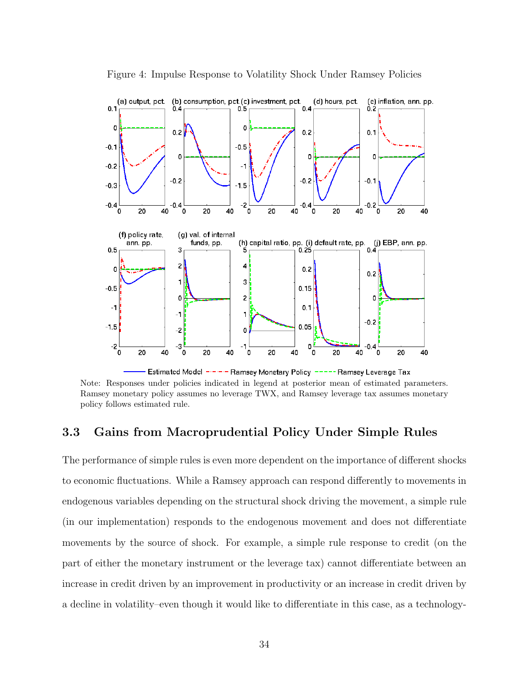

<span id="page-34-0"></span>Figure 4: Impulse Response to Volatility Shock Under Ramsey Policies

Note: Responses under policies indicated in legend at posterior mean of estimated parameters. Ramsey monetary policy assumes no leverage TWX, and Ramsey leverage tax assumes monetary policy follows estimated rule.

### 3.3 Gains from Macroprudential Policy Under Simple Rules

The performance of simple rules is even more dependent on the importance of different shocks to economic fluctuations. While a Ramsey approach can respond differently to movements in endogenous variables depending on the structural shock driving the movement, a simple rule (in our implementation) responds to the endogenous movement and does not differentiate movements by the source of shock. For example, a simple rule response to credit (on the part of either the monetary instrument or the leverage tax) cannot differentiate between an increase in credit driven by an improvement in productivity or an increase in credit driven by a decline in volatility–even though it would like to differentiate in this case, as a technology-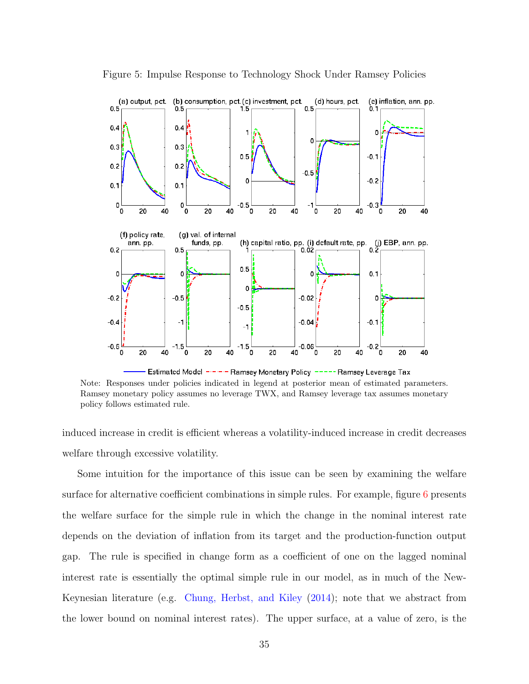

<span id="page-35-0"></span>Figure 5: Impulse Response to Technology Shock Under Ramsey Policies

Note: Responses under policies indicated in legend at posterior mean of estimated parameters. Ramsey monetary policy assumes no leverage TWX, and Ramsey leverage tax assumes monetary policy follows estimated rule.

induced increase in credit is efficient whereas a volatility-induced increase in credit decreases welfare through excessive volatility.

Some intuition for the importance of this issue can be seen by examining the welfare surface for alternative coefficient combinations in simple rules. For example, figure [6](#page-36-0) presents the welfare surface for the simple rule in which the change in the nominal interest rate depends on the deviation of inflation from its target and the production-function output gap. The rule is specified in change form as a coefficient of one on the lagged nominal interest rate is essentially the optimal simple rule in our model, as in much of the New-Keynesian literature (e.g. [Chung, Herbst, and Kiley](#page-42-13) [\(2014\)](#page-42-13); note that we abstract from the lower bound on nominal interest rates). The upper surface, at a value of zero, is the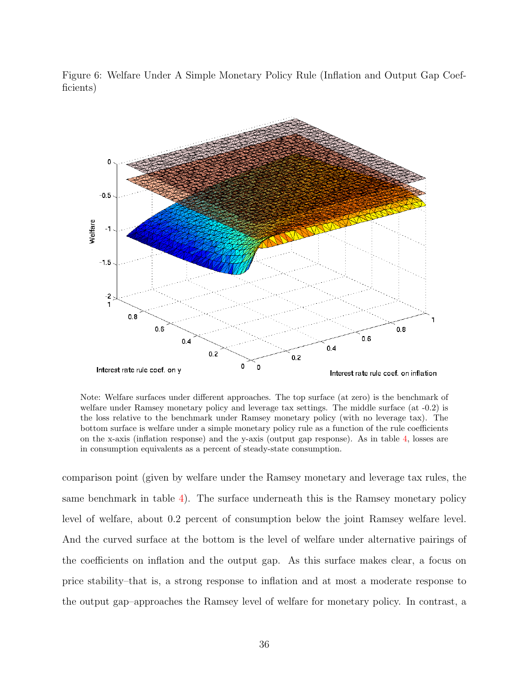<span id="page-36-0"></span>Figure 6: Welfare Under A Simple Monetary Policy Rule (Inflation and Output Gap Coefficients)



Note: Welfare surfaces under different approaches. The top surface (at zero) is the benchmark of welfare under Ramsey monetary policy and leverage tax settings. The middle surface (at  $-0.2$ ) is the loss relative to the benchmark under Ramsey monetary policy (with no leverage tax). The bottom surface is welfare under a simple monetary policy rule as a function of the rule coefficients on the x-axis (inflation response) and the y-axis (output gap response). As in table [4,](#page-31-0) losses are in consumption equivalents as a percent of steady-state consumption.

comparison point (given by welfare under the Ramsey monetary and leverage tax rules, the same benchmark in table [4\)](#page-31-0). The surface underneath this is the Ramsey monetary policy level of welfare, about 0.2 percent of consumption below the joint Ramsey welfare level. And the curved surface at the bottom is the level of welfare under alternative pairings of the coefficients on inflation and the output gap. As this surface makes clear, a focus on price stability–that is, a strong response to inflation and at most a moderate response to the output gap–approaches the Ramsey level of welfare for monetary policy. In contrast, a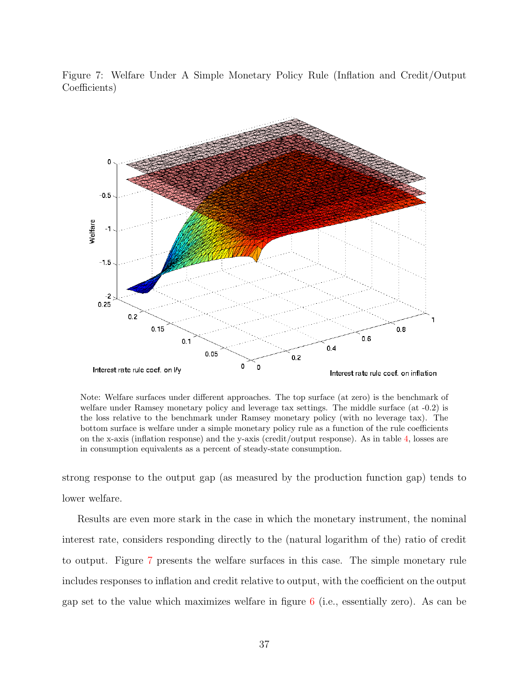

<span id="page-37-0"></span>

Note: Welfare surfaces under different approaches. The top surface (at zero) is the benchmark of welfare under Ramsey monetary policy and leverage tax settings. The middle surface (at  $-0.2$ ) is the loss relative to the benchmark under Ramsey monetary policy (with no leverage tax). The bottom surface is welfare under a simple monetary policy rule as a function of the rule coefficients on the x-axis (inflation response) and the y-axis (credit/output response). As in table [4,](#page-31-0) losses are in consumption equivalents as a percent of steady-state consumption.

strong response to the output gap (as measured by the production function gap) tends to lower welfare.

Results are even more stark in the case in which the monetary instrument, the nominal interest rate, considers responding directly to the (natural logarithm of the) ratio of credit to output. Figure [7](#page-37-0) presents the welfare surfaces in this case. The simple monetary rule includes responses to inflation and credit relative to output, with the coefficient on the output gap set to the value which maximizes welfare in figure  $6$  (i.e., essentially zero). As can be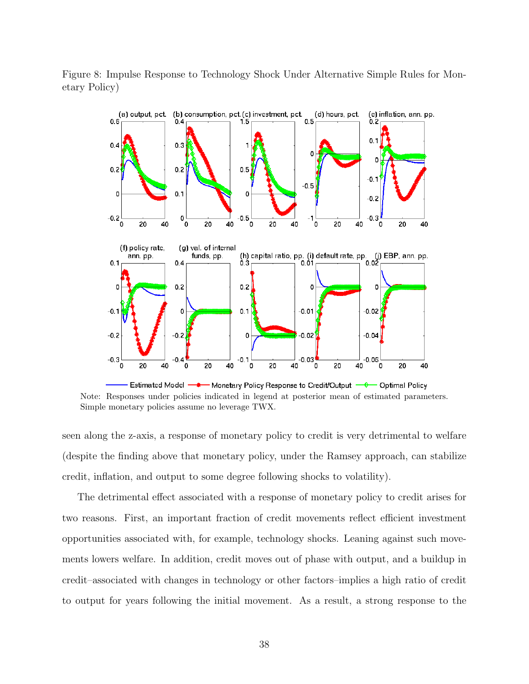Figure 8: Impulse Response to Technology Shock Under Alternative Simple Rules for Monetary Policy)

<span id="page-38-0"></span>

Note: Responses under policies indicated in legend at posterior mean of estimated parameters. Simple monetary policies assume no leverage TWX.

seen along the z-axis, a response of monetary policy to credit is very detrimental to welfare (despite the finding above that monetary policy, under the Ramsey approach, can stabilize credit, inflation, and output to some degree following shocks to volatility).

The detrimental effect associated with a response of monetary policy to credit arises for two reasons. First, an important fraction of credit movements reflect efficient investment opportunities associated with, for example, technology shocks. Leaning against such movements lowers welfare. In addition, credit moves out of phase with output, and a buildup in credit–associated with changes in technology or other factors–implies a high ratio of credit to output for years following the initial movement. As a result, a strong response to the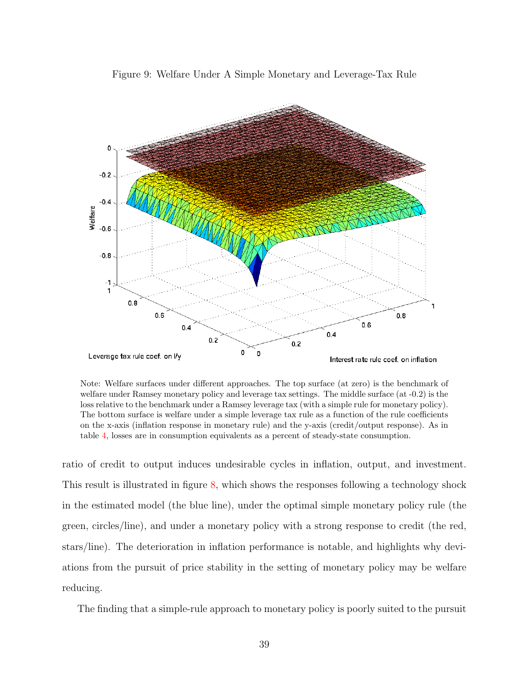

<span id="page-39-0"></span>Figure 9: Welfare Under A Simple Monetary and Leverage-Tax Rule

Note: Welfare surfaces under different approaches. The top surface (at zero) is the benchmark of welfare under Ramsey monetary policy and leverage tax settings. The middle surface (at -0.2) is the loss relative to the benchmark under a Ramsey leverage tax (with a simple rule for monetary policy). The bottom surface is welfare under a simple leverage tax rule as a function of the rule coefficients on the x-axis (inflation response in monetary rule) and the y-axis (credit/output response). As in table [4,](#page-31-0) losses are in consumption equivalents as a percent of steady-state consumption.

ratio of credit to output induces undesirable cycles in inflation, output, and investment. This result is illustrated in figure [8,](#page-38-0) which shows the responses following a technology shock in the estimated model (the blue line), under the optimal simple monetary policy rule (the green, circles/line), and under a monetary policy with a strong response to credit (the red, stars/line). The deterioration in inflation performance is notable, and highlights why deviations from the pursuit of price stability in the setting of monetary policy may be welfare reducing.

The finding that a simple-rule approach to monetary policy is poorly suited to the pursuit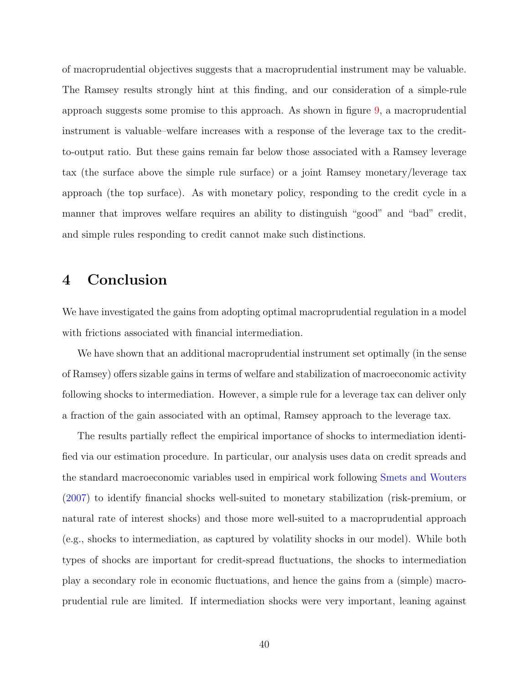of macroprudential objectives suggests that a macroprudential instrument may be valuable. The Ramsey results strongly hint at this finding, and our consideration of a simple-rule approach suggests some promise to this approach. As shown in figure [9,](#page-39-0) a macroprudential instrument is valuable–welfare increases with a response of the leverage tax to the creditto-output ratio. But these gains remain far below those associated with a Ramsey leverage tax (the surface above the simple rule surface) or a joint Ramsey monetary/leverage tax approach (the top surface). As with monetary policy, responding to the credit cycle in a manner that improves welfare requires an ability to distinguish "good" and "bad" credit, and simple rules responding to credit cannot make such distinctions.

### 4 Conclusion

We have investigated the gains from adopting optimal macroprudential regulation in a model with frictions associated with financial intermediation.

We have shown that an additional macroprudential instrument set optimally (in the sense of Ramsey) offers sizable gains in terms of welfare and stabilization of macroeconomic activity following shocks to intermediation. However, a simple rule for a leverage tax can deliver only a fraction of the gain associated with an optimal, Ramsey approach to the leverage tax.

The results partially reflect the empirical importance of shocks to intermediation identified via our estimation procedure. In particular, our analysis uses data on credit spreads and the standard macroeconomic variables used in empirical work following [Smets and Wouters](#page-44-8) [\(2007\)](#page-44-8) to identify financial shocks well-suited to monetary stabilization (risk-premium, or natural rate of interest shocks) and those more well-suited to a macroprudential approach (e.g., shocks to intermediation, as captured by volatility shocks in our model). While both types of shocks are important for credit-spread fluctuations, the shocks to intermediation play a secondary role in economic fluctuations, and hence the gains from a (simple) macroprudential rule are limited. If intermediation shocks were very important, leaning against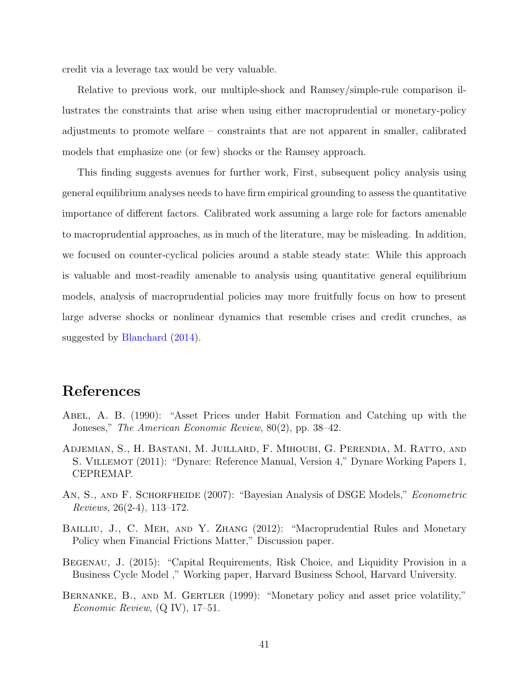credit via a leverage tax would be very valuable.

Relative to previous work, our multiple-shock and Ramsey/simple-rule comparison illustrates the constraints that arise when using either macroprudential or monetary-policy adjustments to promote welfare – constraints that are not apparent in smaller, calibrated models that emphasize one (or few) shocks or the Ramsey approach.

This finding suggests avenues for further work, First, subsequent policy analysis using general equilibrium analyses needs to have firm empirical grounding to assess the quantitative importance of different factors. Calibrated work assuming a large role for factors amenable to macroprudential approaches, as in much of the literature, may be misleading. In addition, we focused on counter-cyclical policies around a stable steady state: While this approach is valuable and most-readily amenable to analysis using quantitative general equilibrium models, analysis of macroprudential policies may more fruitfully focus on how to present large adverse shocks or nonlinear dynamics that resemble crises and credit crunches, as suggested by [Blanchard](#page-42-14) [\(2014\)](#page-42-14).

### References

- <span id="page-41-2"></span>Abel, A. B. (1990): "Asset Prices under Habit Formation and Catching up with the Joneses," The American Economic Review, 80(2), pp. 38–42.
- <span id="page-41-4"></span>Adjemian, S., H. Bastani, M. Juillard, F. Mihoubi, G. Perendia, M. Ratto, and S. Villemot (2011): "Dynare: Reference Manual, Version 4," Dynare Working Papers 1, CEPREMAP.
- <span id="page-41-3"></span>AN, S., AND F. SCHORFHEIDE (2007): "Bayesian Analysis of DSGE Models," *Econometric* Reviews, 26(2-4), 113–172.
- <span id="page-41-1"></span>Bailliu, J., C. Meh, and Y. Zhang (2012): "Macroprudential Rules and Monetary Policy when Financial Frictions Matter," Discussion paper.
- <span id="page-41-5"></span>Begenau, J. (2015): "Capital Requirements, Risk Choice, and Liquidity Provision in a Business Cycle Model ," Working paper, Harvard Business School, Harvard University.
- <span id="page-41-0"></span>BERNANKE, B., AND M. GERTLER (1999): "Monetary policy and asset price volatility," Economic Review, (Q IV), 17–51.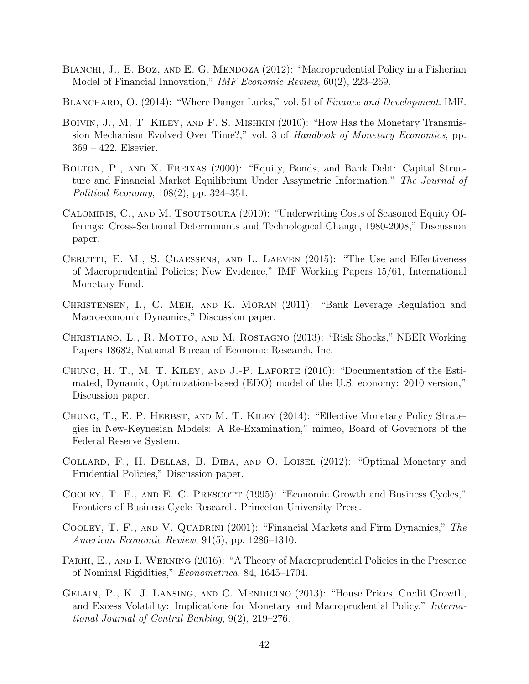- <span id="page-42-0"></span>BIANCHI, J., E. BOZ, AND E. G. MENDOZA (2012): "Macroprudential Policy in a Fisherian Model of Financial Innovation," IMF Economic Review, 60(2), 223–269.
- <span id="page-42-14"></span>BLANCHARD, O. (2014): "Where Danger Lurks," vol. 51 of Finance and Development. IMF.
- <span id="page-42-3"></span>BOIVIN, J., M. T. KILEY, AND F. S. MISHKIN (2010): "How Has the Monetary Transmission Mechanism Evolved Over Time?," vol. 3 of Handbook of Monetary Economics, pp. 369 – 422. Elsevier.
- <span id="page-42-9"></span>Bolton, P., and X. Freixas (2000): "Equity, Bonds, and Bank Debt: Capital Structure and Financial Market Equilibrium Under Assymetric Information," The Journal of Political Economy, 108(2), pp. 324–351.
- <span id="page-42-8"></span>CALOMIRIS, C., AND M. TSOUTSOURA (2010): "Underwriting Costs of Seasoned Equity Offerings: Cross-Sectional Determinants and Technological Change, 1980-2008," Discussion paper.
- <span id="page-42-2"></span>CERUTTI, E. M., S. CLAESSENS, AND L. LAEVEN (2015): "The Use and Effectiveness of Macroprudential Policies; New Evidence," IMF Working Papers 15/61, International Monetary Fund.
- <span id="page-42-6"></span>Christensen, I., C. Meh, and K. Moran (2011): "Bank Leverage Regulation and Macroeconomic Dynamics," Discussion paper.
- <span id="page-42-5"></span>Christiano, L., R. Motto, and M. Rostagno (2013): "Risk Shocks," NBER Working Papers 18682, National Bureau of Economic Research, Inc.
- <span id="page-42-10"></span>Chung, H. T., M. T. Kiley, and J.-P. Laforte (2010): "Documentation of the Estimated, Dynamic, Optimization-based (EDO) model of the U.S. economy: 2010 version," Discussion paper.
- <span id="page-42-13"></span>CHUNG, T., E. P. HERBST, AND M. T. KILEY (2014): "Effective Monetary Policy Strategies in New-Keynesian Models: A Re-Examination," mimeo, Board of Governors of the Federal Reserve System.
- <span id="page-42-4"></span>Collard, F., H. Dellas, B. Diba, and O. Loisel (2012): "Optimal Monetary and Prudential Policies," Discussion paper.
- <span id="page-42-11"></span>COOLEY, T. F., AND E. C. PRESCOTT (1995): "Economic Growth and Business Cycles," Frontiers of Business Cycle Research. Princeton University Press.
- <span id="page-42-12"></span>COOLEY, T. F., AND V. QUADRINI (2001): "Financial Markets and Firm Dynamics," The American Economic Review, 91(5), pp. 1286–1310.
- <span id="page-42-1"></span>FARHI, E., AND I. WERNING (2016): "A Theory of Macroprudential Policies in the Presence of Nominal Rigidities," Econometrica, 84, 1645–1704.
- <span id="page-42-7"></span>Gelain, P., K. J. Lansing, and C. Mendicino (2013): "House Prices, Credit Growth, and Excess Volatility: Implications for Monetary and Macroprudential Policy," International Journal of Central Banking, 9(2), 219–276.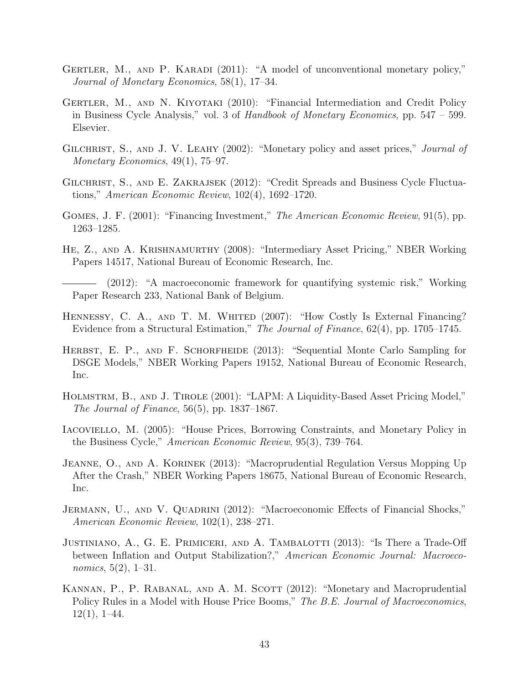- <span id="page-43-11"></span>GERTLER, M., AND P. KARADI (2011): "A model of unconventional monetary policy," Journal of Monetary Economics, 58(1), 17–34.
- <span id="page-43-2"></span>GERTLER, M., AND N. KIYOTAKI (2010): "Financial Intermediation and Credit Policy in Business Cycle Analysis," vol. 3 of Handbook of Monetary Economics, pp. 547 – 599. Elsevier.
- <span id="page-43-4"></span>GILCHRIST, S., AND J. V. LEAHY (2002): "Monetary policy and asset prices," *Journal of* Monetary Economics, 49(1), 75–97.
- <span id="page-43-0"></span>Gilchrist, S., and E. Zakrajsek (2012): "Credit Spreads and Business Cycle Fluctuations," American Economic Review, 102(4), 1692–1720.
- <span id="page-43-14"></span>Gomes, J. F. (2001): "Financing Investment," The American Economic Review, 91(5), pp. 1263–1285.
- <span id="page-43-9"></span>He, Z., and A. Krishnamurthy (2008): "Intermediary Asset Pricing," NBER Working Papers 14517, National Bureau of Economic Research, Inc.

<span id="page-43-3"></span>(2012): "A macroeconomic framework for quantifying systemic risk," Working Paper Research 233, National Bank of Belgium.

- <span id="page-43-7"></span>HENNESSY, C. A., AND T. M. WHITED (2007): "How Costly Is External Financing? Evidence from a Structural Estimation," The Journal of Finance, 62(4), pp. 1705–1745.
- <span id="page-43-13"></span>HERBST, E. P., AND F. SCHORFHEIDE (2013): "Sequential Monte Carlo Sampling for DSGE Models," NBER Working Papers 19152, National Bureau of Economic Research, Inc.
- <span id="page-43-8"></span>Holmstrm, B., and J. Tirole (2001): "LAPM: A Liquidity-Based Asset Pricing Model," The Journal of Finance,  $56(5)$ , pp. 1837–1867.
- <span id="page-43-5"></span>Iacoviello, M. (2005): "House Prices, Borrowing Constraints, and Monetary Policy in the Business Cycle," American Economic Review, 95(3), 739–764.
- <span id="page-43-1"></span>Jeanne, O., and A. Korinek (2013): "Macroprudential Regulation Versus Mopping Up After the Crash," NBER Working Papers 18675, National Bureau of Economic Research, Inc.
- <span id="page-43-10"></span>JERMANN, U., AND V. QUADRINI (2012): "Macroeconomic Effects of Financial Shocks," American Economic Review, 102(1), 238–271.
- <span id="page-43-12"></span>JUSTINIANO, A., G. E. PRIMICERI, AND A. TAMBALOTTI (2013): "Is There a Trade-Off between Inflation and Output Stabilization?," American Economic Journal: Macroeconomics, 5(2), 1–31.
- <span id="page-43-6"></span>KANNAN, P., P. RABANAL, AND A. M. SCOTT (2012): "Monetary and Macroprudential Policy Rules in a Model with House Price Booms," The B.E. Journal of Macroeconomics,  $12(1), 1-44.$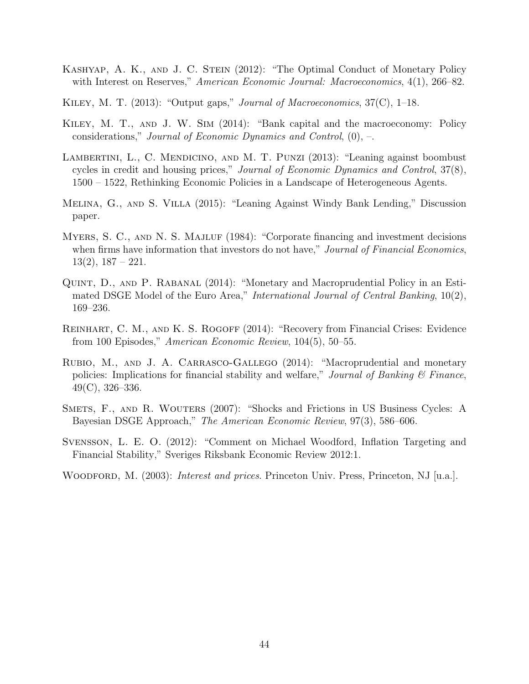- <span id="page-44-11"></span>Kashyap, A. K., and J. C. Stein (2012): "The Optimal Conduct of Monetary Policy with Interest on Reserves," American Economic Journal: Macroeconomics, 4(1), 266–82.
- <span id="page-44-9"></span>KILEY, M. T. (2013): "Output gaps," *Journal of Macroeconomics*, 37(C), 1–18.
- <span id="page-44-1"></span>Kiley, M. T., and J. W. Sim (2014): "Bank capital and the macroeconomy: Policy considerations," Journal of Economic Dynamics and Control,  $(0)$ ,  $-$ .
- <span id="page-44-4"></span>LAMBERTINI, L., C. MENDICINO, AND M. T. PUNZI (2013): "Leaning against boombust cycles in credit and housing prices," Journal of Economic Dynamics and Control, 37(8), 1500 – 1522, Rethinking Economic Policies in a Landscape of Heterogeneous Agents.
- <span id="page-44-3"></span>Melina, G., and S. Villa (2015): "Leaning Against Windy Bank Lending," Discussion paper.
- <span id="page-44-7"></span>MYERS, S. C., AND N. S. MAJLUF (1984): "Corporate financing and investment decisions when firms have information that investors do not have," *Journal of Financial Economics*,  $13(2)$ ,  $187 - 221$ .
- <span id="page-44-6"></span>Quint, D., and P. Rabanal (2014): "Monetary and Macroprudential Policy in an Estimated DSGE Model of the Euro Area," International Journal of Central Banking, 10(2), 169–236.
- <span id="page-44-10"></span>REINHART, C. M., AND K. S. ROGOFF (2014): "Recovery from Financial Crises: Evidence from 100 Episodes," American Economic Review, 104(5), 50–55.
- <span id="page-44-5"></span>Rubio, M., and J. A. Carrasco-Gallego (2014): "Macroprudential and monetary policies: Implications for financial stability and welfare," Journal of Banking  $\mathcal C$  Finance, 49(C), 326–336.
- <span id="page-44-8"></span>SMETS, F., AND R. WOUTERS (2007): "Shocks and Frictions in US Business Cycles: A Bayesian DSGE Approach," The American Economic Review, 97(3), 586–606.
- <span id="page-44-0"></span>Svensson, L. E. O. (2012): "Comment on Michael Woodford, Inflation Targeting and Financial Stability," Sveriges Riksbank Economic Review 2012:1.
- <span id="page-44-2"></span>WOODFORD, M.  $(2003)$ : Interest and prices. Princeton Univ. Press, Princeton, NJ  $|u.a.|$ .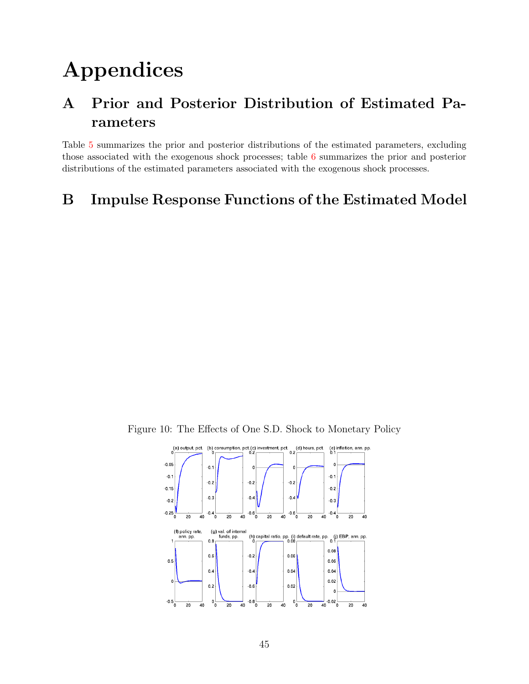# Appendices

# A Prior and Posterior Distribution of Estimated Parameters

Table [5](#page-46-0) summarizes the prior and posterior distributions of the estimated parameters, excluding those associated with the exogenous shock processes; table [6](#page-47-0) summarizes the prior and posterior distributions of the estimated parameters associated with the exogenous shock processes.

### B Impulse Response Functions of the Estimated Model



Figure 10: The Effects of One S.D. Shock to Monetary Policy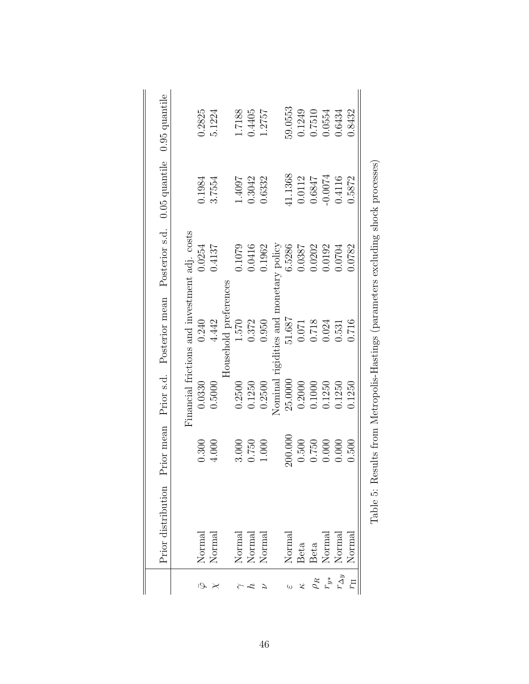<span id="page-46-0"></span>

|                | Prior distribution | Prior mean |         | Prior s.d. Posterior mean                                              | Posterior s.d. | $0.05$ quantile $0.95$ quantile |         |
|----------------|--------------------|------------|---------|------------------------------------------------------------------------|----------------|---------------------------------|---------|
|                |                    |            |         |                                                                        |                |                                 |         |
|                |                    |            |         | Financial frictions and investment adj. costs                          |                |                                 |         |
| $\mathcal{L}$  | Normal             | 0.300      | 0.0330  | 0.240                                                                  | 0.0254         | 0.1984                          | 0.2825  |
|                | Normal             | 4.000      | 0.5000  | 4.442                                                                  | 0.4137         | 3.7554                          | 5.1224  |
|                |                    |            |         | Household preferences                                                  |                |                                 |         |
|                | Normal             | 3.000      | 0.2500  | 1.570                                                                  | 0.1079         | 1.4097                          | 1.7188  |
|                | Normal             | 0.750      | 0.1250  | 0.372                                                                  | 0.0416         | 0.3042                          | 0.4405  |
|                | Normal             | 1.000      | 0.2500  | 0.950                                                                  | 0.1962         | 0.6332                          | 1.2757  |
|                |                    |            |         | Nominal rigidities and monetary policy                                 |                |                                 |         |
| $\omega$       | Normal             | 200.000    | 25.0000 | 51.687                                                                 | 6.5286         | 41.1368                         | 59.0553 |
|                | Beta               | 0.500      | 0.2000  | 0.071                                                                  | 0.0387         | 0.0112                          | 0.1249  |
|                | Beta               | 0.750      | 0.1000  | 0.718                                                                  | 0.0202         | 0.6847                          | 0.7510  |
| $\rho_R^*$     | Normal<br>Normal   | 0.000      | 0.1250  | 0.024                                                                  | 0.0192         | $-0.0074$                       | 0.0554  |
| $r_{\Delta y}$ |                    | 0.000      | 0.1250  | 0.531                                                                  | 0.0704         | 0.4116                          | 0.6434  |
|                | Normal             | 0.500      | 0.1250  | 0.716                                                                  | 0.782          | 0.5872                          | 0.8432  |
|                | Table 5: R         |            |         | esults from Metropolis-Hastings (parameters excluding shock processes) |                |                                 |         |

| しょう                                                                                                                                                                                                                            |
|--------------------------------------------------------------------------------------------------------------------------------------------------------------------------------------------------------------------------------|
|                                                                                                                                                                                                                                |
|                                                                                                                                                                                                                                |
| 4                                                                                                                                                                                                                              |
| )<br>)<br>)                                                                                                                                                                                                                    |
|                                                                                                                                                                                                                                |
|                                                                                                                                                                                                                                |
| )                                                                                                                                                                                                                              |
|                                                                                                                                                                                                                                |
| ו<br>ו                                                                                                                                                                                                                         |
|                                                                                                                                                                                                                                |
| j<br>.                                                                                                                                                                                                                         |
| <br> <br> <br> <br>                                                                                                                                                                                                            |
|                                                                                                                                                                                                                                |
|                                                                                                                                                                                                                                |
|                                                                                                                                                                                                                                |
|                                                                                                                                                                                                                                |
|                                                                                                                                                                                                                                |
|                                                                                                                                                                                                                                |
|                                                                                                                                                                                                                                |
|                                                                                                                                                                                                                                |
|                                                                                                                                                                                                                                |
| ļ                                                                                                                                                                                                                              |
| - 2.0 mm 2.0 mm - 1.0 mm                                                                                                                                                                                                       |
| <br> <br> }<br>1                                                                                                                                                                                                               |
|                                                                                                                                                                                                                                |
|                                                                                                                                                                                                                                |
| contractor of contractor of contractor contractor of contractor of contractor of contractor of contractor of contractor of contractor of contractor of contractor of contractor of contractor of contractor of contractor of c |
|                                                                                                                                                                                                                                |
|                                                                                                                                                                                                                                |
|                                                                                                                                                                                                                                |
|                                                                                                                                                                                                                                |
|                                                                                                                                                                                                                                |
|                                                                                                                                                                                                                                |
| $\ddot{\phantom{0}}$                                                                                                                                                                                                           |
| .<br>)                                                                                                                                                                                                                         |
| Table 5: Regults from N<br>$\frac{1}{2}$                                                                                                                                                                                       |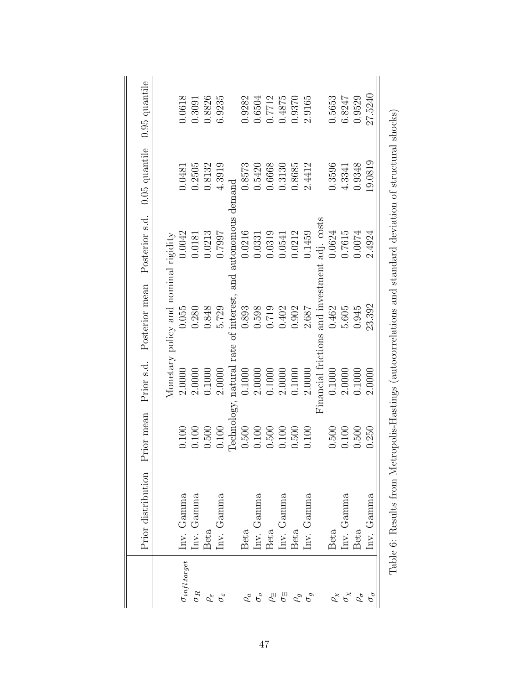<span id="page-47-0"></span>

|                                           | Prior distribution                                                                                       | Prior mean  |                     | Prior s.d. Posterior mean                       |            | Posterior s.d. 0.05 quantile | $0.95$ quantile |
|-------------------------------------------|----------------------------------------------------------------------------------------------------------|-------------|---------------------|-------------------------------------------------|------------|------------------------------|-----------------|
|                                           |                                                                                                          |             |                     | Monetary policy and nominal rigidity            |            |                              |                 |
| $\sigma_{infl.target}$                    | Inv. Gamma                                                                                               | 0.100       | 2.0000              | 0.055                                           | 0.0042     | 0.0481                       | 0.0618          |
| $\sigma_R$                                | Inv. Gamma                                                                                               | 0.100       | 2.0000              | 0.280                                           | 0.0181     | 0.2505                       | 0.3091          |
| $\rho_{\!\scriptscriptstyle \mathcal{C}}$ | Beta                                                                                                     | 0.500       | 0.1000              | 0.848                                           | 0.0213     | 0.8132                       | 0.8826          |
| $\varphi^{\omega}$                        | Inv. Gamma                                                                                               | 0.100       | 2.0000              | 5.729                                           | 0.7997     | 4.3919                       | 6.9235          |
|                                           |                                                                                                          | Technology, |                     | natural rate of interest, and autonomous demand |            |                              |                 |
| $\rho_a$                                  | Beta                                                                                                     | 0.500       | 0.1000              | 0.893                                           | 0.0216     | 0.8573                       | 0.9282          |
| $\sigma_a$                                | Inv. Gamma                                                                                               | 0.100       | 2.0000              | 0.598                                           | 0.0331     | 0.5420                       | 0.6504          |
| $\tilde{\gamma}$                          | Beta                                                                                                     | 0.500       | 0.1000              | 0.719                                           | 0.0319     | 0.6668                       | 0.7712          |
| $\varrho_{\scriptscriptstyle\rm [I]}$     | Inv. Gamma                                                                                               | 0.100       | 2.0000              | 0.402                                           | 0.0541     | 0.3130                       | 0.4875          |
| $\rho_g$                                  | Beta                                                                                                     | 0.500       | 0.1000              | 0.902                                           | 0.0212     | 0.8685                       | 0.9370          |
|                                           | Inv. Gamma                                                                                               | 0.100       | 2.0000              | 2.687                                           | 0.1459     | 2.4412                       | 2.9165          |
|                                           |                                                                                                          |             | Financial frictions | and investment                                  | adj. costs |                              |                 |
| $\rho_\chi$                               | Beta                                                                                                     | 0.500       | 0.1000              | 0.462                                           | 0.0624     | 0.3596                       | 0.5653          |
| $\sigma_\chi$                             | Inv. Gamma                                                                                               | 0.100       | 2.0000              | 5.605                                           | 0.7615     | 4.3341                       | 6.8247          |
| $\rho_{\sigma}$                           | Beta                                                                                                     | 0.500       | 0.1000              | 0.945                                           | 0.0074     | 0.9348                       | 0.9529          |
| $\sigma^{\sigma}$                         | Inv. Gamma                                                                                               | 0.250       | 2.0000              | 23.392                                          | 2.4924     | 19.0819                      | 27.5240         |
|                                           | Table 6: Results from Metropolis-Hastings (autocorrelations and standard deviation of structural shocks) |             |                     |                                                 |            |                              |                 |

| <br> <br> <br> <br> <br>$\ddot{\phantom{a}}$<br>ジュントリー                                                                                                                                                                         |
|--------------------------------------------------------------------------------------------------------------------------------------------------------------------------------------------------------------------------------|
|                                                                                                                                                                                                                                |
|                                                                                                                                                                                                                                |
| a communication of the communication of the communication of the communication of the communication of the communication of the communication of the communication of the communication of the communication of the communicat |
|                                                                                                                                                                                                                                |
| j                                                                                                                                                                                                                              |
| ļ<br>ソニン・シー・トランド<br>$\sim$ $+$ $\sim$                                                                                                                                                                                          |
| i<br>j                                                                                                                                                                                                                         |
|                                                                                                                                                                                                                                |
|                                                                                                                                                                                                                                |
|                                                                                                                                                                                                                                |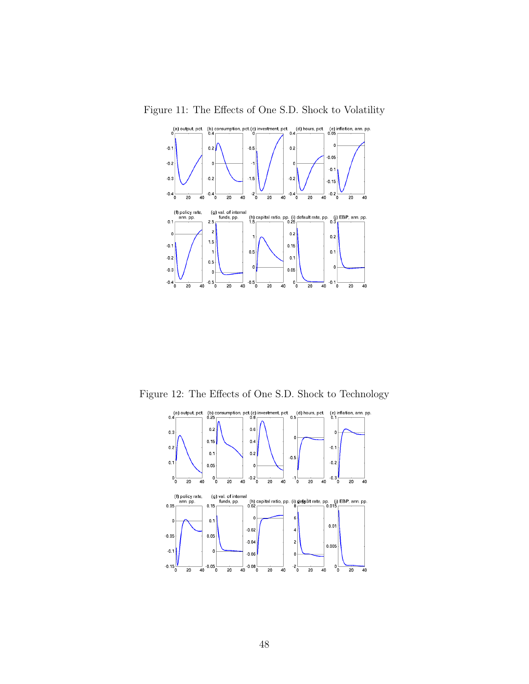

Figure 11: The Effects of One S.D. Shock to Volatility

Figure 12: The Effects of One S.D. Shock to Technology

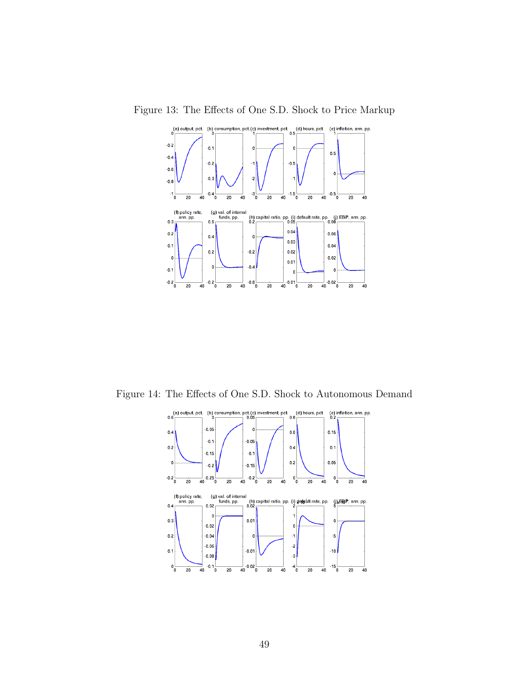

Figure 13: The Effects of One S.D. Shock to Price Markup

Figure 14: The Effects of One S.D. Shock to Autonomous Demand

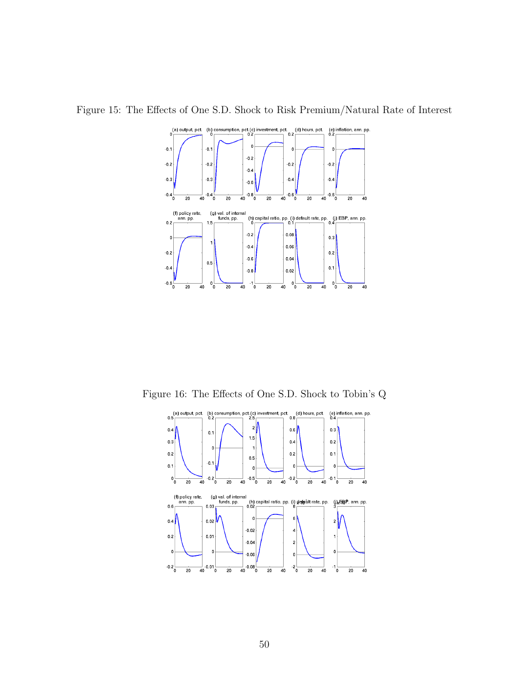

Figure 15: The Effects of One S.D. Shock to Risk Premium/Natural Rate of Interest

Figure 16: The Effects of One S.D. Shock to Tobin's Q

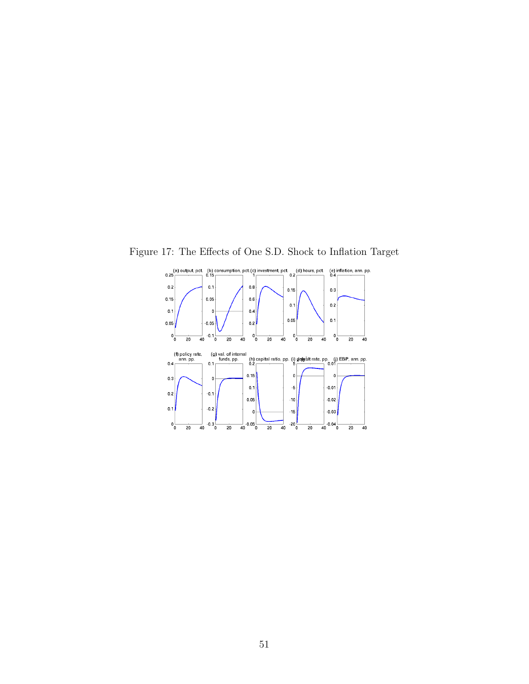Figure 17: The Effects of One S.D. Shock to Inflation Target

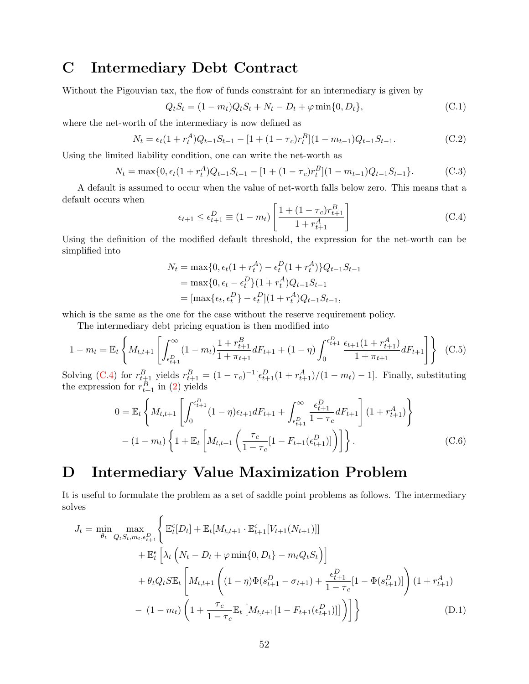### C Intermediary Debt Contract

Without the Pigouvian tax, the flow of funds constraint for an intermediary is given by

$$
Q_t S_t = (1 - m_t) Q_t S_t + N_t - D_t + \varphi \min\{0, D_t\},\tag{C.1}
$$

where the net-worth of the intermediary is now defined as

$$
N_t = \epsilon_t (1 + r_t^A) Q_{t-1} S_{t-1} - [1 + (1 - \tau_c) r_t^B] (1 - m_{t-1}) Q_{t-1} S_{t-1}.
$$
 (C.2)

Using the limited liability condition, one can write the net-worth as

$$
N_t = \max\{0, \epsilon_t(1 + r_t^A)Q_{t-1}S_{t-1} - [1 + (1 - \tau_c)r_t^B](1 - m_{t-1})Q_{t-1}S_{t-1}\}.
$$
 (C.3)

A default is assumed to occur when the value of net-worth falls below zero. This means that a default occurs when

<span id="page-52-0"></span>
$$
\epsilon_{t+1} \le \epsilon_{t+1}^D \equiv (1 - m_t) \left[ \frac{1 + (1 - \tau_c) r_{t+1}^B}{1 + r_{t+1}^A} \right] \tag{C.4}
$$

Using the definition of the modified default threshold, the expression for the net-worth can be simplified into

$$
N_t = \max\{0, \epsilon_t(1 + r_t^A) - \epsilon_t^D(1 + r_t^A)\}Q_{t-1}S_{t-1}
$$
  
= 
$$
\max\{0, \epsilon_t - \epsilon_t^D\}(1 + r_t^A)Q_{t-1}S_{t-1}
$$
  
= 
$$
[\max\{\epsilon_t, \epsilon_t^D\} - \epsilon_t^D](1 + r_t^A)Q_{t-1}S_{t-1},
$$

which is the same as the one for the case without the reserve requirement policy.

The intermediary debt pricing equation is then modified into

$$
1 - m_t = \mathbb{E}_t \left\{ M_{t,t+1} \left[ \int_{\epsilon_{t+1}^D}^{\infty} (1 - m_t) \frac{1 + r_{t+1}^B}{1 + \pi_{t+1}} dF_{t+1} + (1 - \eta) \int_0^{\epsilon_{t+1}^D} \frac{\epsilon_{t+1} (1 + r_{t+1}^A)}{1 + \pi_{t+1}} dF_{t+1} \right] \right\} \tag{C.5}
$$

Solving [\(C.4\)](#page-52-0) for  $r_{t+1}^B$  yields  $r_{t+1}^B = (1 - \tau_c)^{-1} [\epsilon_{t+1}^D (1 + r_{t+1}^A)/(1 - m_t) - 1]$ . Finally, substituting the expression for  $r_{t+1}^B$  in [\(2\)](#page-8-0) yields

$$
0 = \mathbb{E}_{t} \left\{ M_{t,t+1} \left[ \int_{0}^{\epsilon_{t+1}^{D}} (1-\eta)\epsilon_{t+1} dF_{t+1} + \int_{\epsilon_{t+1}^{D}}^{\infty} \frac{\epsilon_{t+1}^{D}}{1-\tau_{c}} dF_{t+1} \right] (1+r_{t+1}^{A}) \right\} - (1-m_{t}) \left\{ 1 + \mathbb{E}_{t} \left[ M_{t,t+1} \left( \frac{\tau_{c}}{1-\tau_{c}} [1-F_{t+1}(\epsilon_{t+1}^{D})] \right) \right] \right\}.
$$
 (C.6)

### D Intermediary Value Maximization Problem

It is useful to formulate the problem as a set of saddle point problems as follows. The intermediary solves

$$
J_{t} = \min_{\theta_{t}} \max_{Q_{t}S_{t},m_{t},\epsilon_{t+1}^{D}} \left\{ \mathbb{E}_{t}^{\epsilon}[D_{t}] + \mathbb{E}_{t}[M_{t,t+1} \cdot \mathbb{E}_{t+1}^{\epsilon}[V_{t+1}(N_{t+1})]] + \mathbb{E}_{t}^{\epsilon} \left[ \lambda_{t} \left( N_{t} - D_{t} + \varphi \min\{0, D_{t}\} - m_{t}Q_{t}S_{t} \right) \right] + \theta_{t}Q_{t}S\mathbb{E}_{t} \left[ M_{t,t+1} \left( (1-\eta)\Phi(s_{t+1}^{D} - \sigma_{t+1}) + \frac{\epsilon_{t+1}^{D}}{1-\tau_{c}} [1 - \Phi(s_{t+1}^{D})] \right) (1 + r_{t+1}^{A}) \right] - (1 - m_{t}) \left( 1 + \frac{\tau_{c}}{1-\tau_{c}} \mathbb{E}_{t} \left[ M_{t,t+1} [1 - F_{t+1}(\epsilon_{t+1}^{D})] \right] \right) \right\}
$$
(D.1)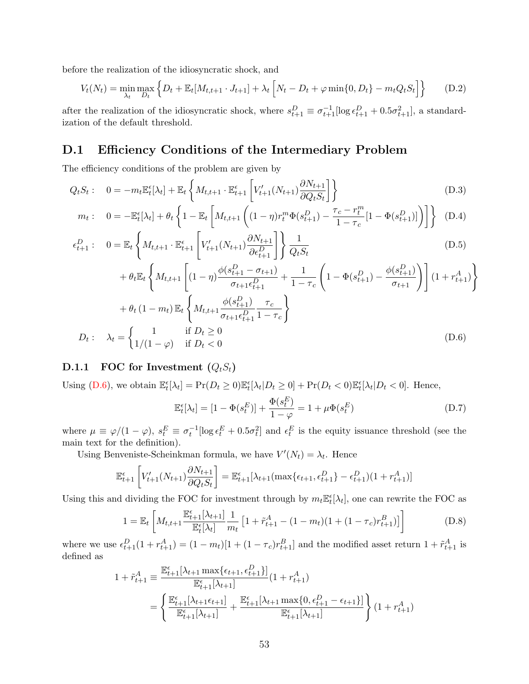before the realization of the idiosyncratic shock, and

$$
V_t(N_t) = \min_{\lambda_t} \max_{D_t} \left\{ D_t + \mathbb{E}_t[M_{t,t+1} \cdot J_{t+1}] + \lambda_t \left[ N_t - D_t + \varphi \min\{0, D_t\} - m_t Q_t S_t \right] \right\}
$$
(D.2)

after the realization of the idiosyncratic shock, where  $s_{t+1}^D \equiv \sigma_{t+1}^{-1} [\log \epsilon_{t+1}^D + 0.5 \sigma_{t+1}^2]$ , a standardization of the default threshold.

### D.1 Efficiency Conditions of the Intermediary Problem

The efficiency conditions of the problem are given by

$$
Q_t S_t: \quad 0 = -m_t \mathbb{E}_t^{\epsilon}[\lambda_t] + \mathbb{E}_t \left\{ M_{t,t+1} \cdot \mathbb{E}_{t+1}^{\epsilon} \left[ V_{t+1}'(N_{t+1}) \frac{\partial N_{t+1}}{\partial Q_t S_t} \right] \right\}
$$
(D.3)

$$
m_t: \quad 0 = -\mathbb{E}_t^{\epsilon}[\lambda_t] + \theta_t \left\{ 1 - \mathbb{E}_t \left[ M_{t,t+1} \left( (1-\eta) r_t^m \Phi(s_{t+1}^D) - \frac{\tau_c - r_t^m}{1 - \tau_c} [1 - \Phi(s_{t+1}^D)] \right) \right] \right\} \tag{D.4}
$$

$$
\epsilon_{t+1}^D: \quad 0 = \mathbb{E}_t \left\{ M_{t,t+1} \cdot \mathbb{E}_{t+1}^{\epsilon} \left[ V_{t+1}^{\prime}(N_{t+1}) \frac{\partial N_{t+1}}{\partial \epsilon_{t+1}^D} \right] \right\} \frac{1}{Q_t S_t} \tag{D.5}
$$

$$
+\theta_t \mathbb{E}_t \left\{ M_{t,t+1} \left[ (1-\eta) \frac{\phi(s_{t+1}^D - \sigma_{t+1})}{\sigma_{t+1} \epsilon_{t+1}^D} + \frac{1}{1-\tau_c} \left( 1 - \Phi(s_{t+1}^D) - \frac{\phi(s_{t+1}^D)}{\sigma_{t+1}} \right) \right] (1+r_{t+1}^A) \right\}
$$
  
+  $\theta_t (1-m_t) \mathbb{E}_t \left\{ M_{t,t+1} \frac{\phi(s_{t+1}^D - \tau_c)}{\sigma_{t+1} \epsilon_{t+1}^D} \frac{\tau_c}{1-\tau_c} \right\}$   
 $D_t: \lambda_t = \begin{cases} 1 & \text{if } D_t \ge 0 \\ 1/(1-\varphi) & \text{if } D_t < 0 \end{cases}$  (D.6)

### D.1.1 FOC for Investment  $(Q_tS_t)$

Using [\(D.6\)](#page-53-0), we obtain  $\mathbb{E}_{t}^{\epsilon}[\lambda_{t}] = \Pr(D_{t} \ge 0)\mathbb{E}_{t}^{\epsilon}[\lambda_{t}|D_{t} \ge 0] + \Pr(D_{t} < 0)\mathbb{E}_{t}^{\epsilon}[\lambda_{t}|D_{t} < 0]$ . Hence,

<span id="page-53-1"></span><span id="page-53-0"></span>
$$
\mathbb{E}_{t}^{\epsilon}[\lambda_{t}] = [1 - \Phi(s_{t}^{E})] + \frac{\Phi(s_{t}^{E})}{1 - \varphi} = 1 + \mu \Phi(s_{t}^{E})
$$
\n(D.7)

where  $\mu \equiv \varphi/(1-\varphi)$ ,  $s_t^E \equiv \sigma_t^{-1} [\log \epsilon_t^E + 0.5\sigma_t^2]$  and  $\epsilon_t^E$  is the equity issuance threshold (see the main text for the definition).

Using Benveniste-Scheinkman formula, we have  $V'(N_t) = \lambda_t$ . Hence

$$
\mathbb{E}_{t+1}^{\epsilon} \left[ V'_{t+1}(N_{t+1}) \frac{\partial N_{t+1}}{\partial Q_t S_t} \right] = \mathbb{E}_{t+1}^{\epsilon} [\lambda_{t+1}(\max\{\epsilon_{t+1}, \epsilon_{t+1}^D\} - \epsilon_{t+1}^D)(1 + r_{t+1}^A)]
$$

Using this and dividing the FOC for investment through by  $m_t \mathbb{E}_t^{\epsilon}[\lambda_t]$ , one can rewrite the FOC as

$$
1 = \mathbb{E}_t \left[ M_{t,t+1} \frac{\mathbb{E}_{t+1}^{\epsilon}[\lambda_{t+1}]}{\mathbb{E}_{t}^{\epsilon}[\lambda_t]} \frac{1}{m_t} \left[ 1 + \tilde{r}_{t+1}^A - (1 - m_t)(1 + (1 - \tau_c)r_{t+1}^B) \right] \right]
$$
(D.8)

where we use  $\epsilon_{t+1}^D(1 + r_{t+1}^A) = (1 - m_t)[1 + (1 - \tau_c)r_{t+1}^B]$  and the modified asset return  $1 + \tilde{r}_{t+1}^A$  is defined as

$$
1 + \tilde{r}_{t+1}^{A} \equiv \frac{\mathbb{E}_{t+1}^{\epsilon}[\lambda_{t+1} \max\{\epsilon_{t+1}, \epsilon_{t+1}^{D}\}]}{\mathbb{E}_{t+1}^{\epsilon}[\lambda_{t+1}]} (1 + r_{t+1}^{A})
$$
  
= 
$$
\left\{ \frac{\mathbb{E}_{t+1}^{\epsilon}[\lambda_{t+1}\epsilon_{t+1}]}{\mathbb{E}_{t+1}^{\epsilon}[\lambda_{t+1}]} + \frac{\mathbb{E}_{t+1}^{\epsilon}[\lambda_{t+1} \max\{0, \epsilon_{t+1}^{D} - \epsilon_{t+1}\}]}{\mathbb{E}_{t+1}^{\epsilon}[\lambda_{t+1}]} \right\} (1 + r_{t+1}^{A})
$$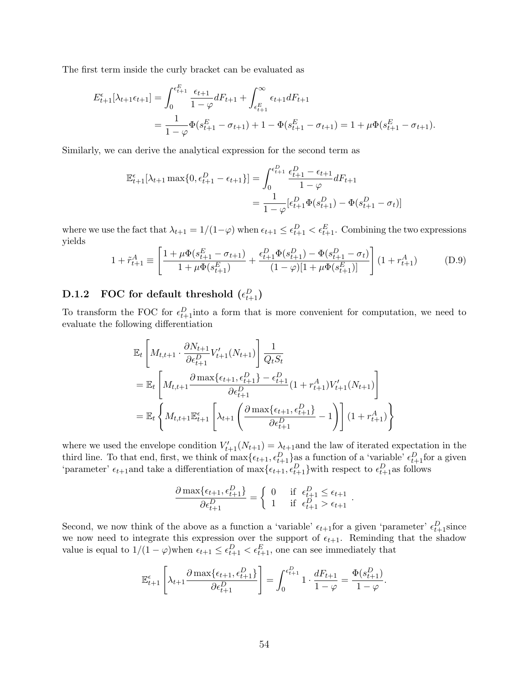The first term inside the curly bracket can be evaluated as

$$
E_{t+1}^{\epsilon}[\lambda_{t+1}\epsilon_{t+1}] = \int_{0}^{\epsilon_{t+1}^{E}} \frac{\epsilon_{t+1}}{1-\varphi} dF_{t+1} + \int_{\epsilon_{t+1}^{E}}^{\infty} \epsilon_{t+1} dF_{t+1}
$$
  
= 
$$
\frac{1}{1-\varphi} \Phi(s_{t+1}^{E} - \sigma_{t+1}) + 1 - \Phi(s_{t+1}^{E} - \sigma_{t+1}) = 1 + \mu \Phi(s_{t+1}^{E} - \sigma_{t+1}).
$$

Similarly, we can derive the analytical expression for the second term as

$$
\mathbb{E}_{t+1}^{\epsilon}[\lambda_{t+1} \max\{0, \epsilon_{t+1}^{D} - \epsilon_{t+1}\}] = \int_{0}^{\epsilon_{t+1}^{D}} \frac{\epsilon_{t+1}^{D} - \epsilon_{t+1}}{1 - \varphi} dF_{t+1}
$$

$$
= \frac{1}{1 - \varphi} [\epsilon_{t+1}^{D} \Phi(s_{t+1}^{D}) - \Phi(s_{t+1}^{D} - \sigma_{t})]
$$

where we use the fact that  $\lambda_{t+1} = 1/(1-\varphi)$  when  $\epsilon_{t+1} \leq \epsilon_{t+1}^D < \epsilon_{t+1}^E$ . Combining the two expressions yields

$$
1 + \tilde{r}_{t+1}^A \equiv \left[ \frac{1 + \mu \Phi(s_{t+1}^E - \sigma_{t+1})}{1 + \mu \Phi(s_{t+1}^E)} + \frac{\epsilon_{t+1}^D \Phi(s_{t+1}^D) - \Phi(s_{t+1}^D - \sigma_t)}{(1 - \varphi)[1 + \mu \Phi(s_{t+1}^E)]} \right] (1 + r_{t+1}^A)
$$
(D.9)

### $\text{D.1.2}\quad \text{FOC for default threshold } (\epsilon^D_{t+1})$

To transform the FOC for  $\epsilon_{t+1}^D$  into a form that is more convenient for computation, we need to evaluate the following differentiation

$$
\mathbb{E}_{t}\left[M_{t,t+1}\cdot\frac{\partial N_{t+1}}{\partial \epsilon_{t+1}^{D}}V'_{t+1}(N_{t+1})\right]\frac{1}{Q_{t}S_{t}}\n= \mathbb{E}_{t}\left[M_{t,t+1}\frac{\partial \max\{\epsilon_{t+1}, \epsilon_{t+1}^{D}\} - \epsilon_{t+1}^{D}}{\partial \epsilon_{t+1}^{D}}(1 + r_{t+1}^{A})V'_{t+1}(N_{t+1})\right]\n= \mathbb{E}_{t}\left\{M_{t,t+1}\mathbb{E}_{t+1}^{\epsilon}\left[\lambda_{t+1}\left(\frac{\partial \max\{\epsilon_{t+1}, \epsilon_{t+1}^{D}\} - 1}{\partial \epsilon_{t+1}^{D}} - 1\right)\right](1 + r_{t+1}^{A})\right\}
$$

where we used the envelope condition  $V'_{t+1}(N_{t+1}) = \lambda_{t+1}$  and the law of iterated expectation in the third line. To that end, first, we think of  $\max\{\epsilon_{t+1}, \epsilon_{t+1}^D\}$  as a function of a 'variable'  $\epsilon_{t+1}^D$  for a given 'parameter'  $\epsilon_{t+1}$  and take a differentiation of  $\max\{\epsilon_{t+1}, \epsilon_{t+1}^D\}$  with respect to  $\epsilon_{t+1}^D$  as follows

$$
\frac{\partial \max\{\epsilon_{t+1}, \epsilon_{t+1}^D\}}{\partial \epsilon_{t+1}^D} = \begin{cases} 0 & \text{if } \epsilon_{t+1}^D \leq \epsilon_{t+1} \\ 1 & \text{if } \epsilon_{t+1}^D > \epsilon_{t+1} \end{cases}.
$$

Second, we now think of the above as a function a 'variable'  $\epsilon_{t+1}$  for a given 'parameter'  $\epsilon_{t+1}^D$  since we now need to integrate this expression over the support of  $\epsilon_{t+1}$ . Reminding that the shadow value is equal to  $1/(1 - \varphi)$  when  $\epsilon_{t+1} \leq \epsilon_{t+1}^D < \epsilon_{t+1}^E$ , one can see immediately that

$$
\mathbb{E}_{t+1}^{\epsilon} \left[ \lambda_{t+1} \frac{\partial \max\{\epsilon_{t+1}, \epsilon_{t+1}^D\}}{\partial \epsilon_{t+1}^D} \right] = \int_0^{\epsilon_{t+1}^D} 1 \cdot \frac{dF_{t+1}}{1 - \varphi} = \frac{\Phi(s_{t+1}^D)}{1 - \varphi}.
$$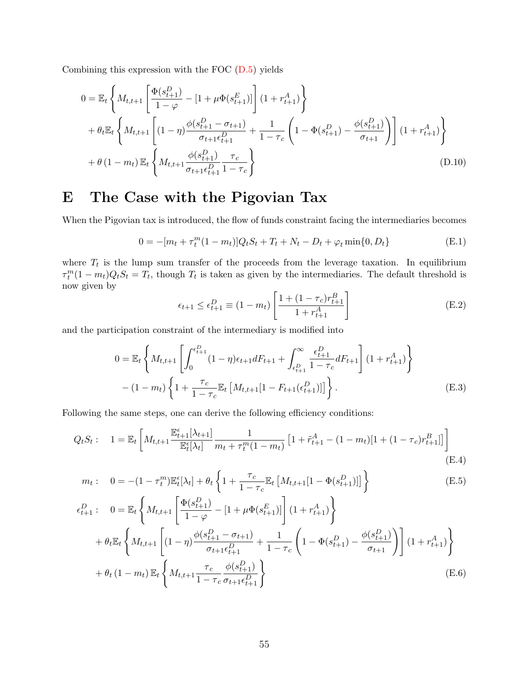Combining this expression with the FOC  $(D.5)$  yields

$$
0 = \mathbb{E}_{t} \left\{ M_{t,t+1} \left[ \frac{\Phi(s_{t+1}^{D})}{1-\varphi} - [1 + \mu \Phi(s_{t+1}^{E})] \right] (1 + r_{t+1}^{A}) \right\} + \theta_{t} \mathbb{E}_{t} \left\{ M_{t,t+1} \left[ (1 - \eta) \frac{\phi(s_{t+1}^{D} - \sigma_{t+1})}{\sigma_{t+1} \epsilon_{t+1}^{D}} + \frac{1}{1 - \tau_{c}} \left( 1 - \Phi(s_{t+1}^{D}) - \frac{\phi(s_{t+1}^{D})}{\sigma_{t+1}} \right) \right] (1 + r_{t+1}^{A}) \right\} + \theta (1 - m_{t}) \mathbb{E}_{t} \left\{ M_{t,t+1} \frac{\phi(s_{t+1}^{D})}{\sigma_{t+1} \epsilon_{t+1}^{D}} \frac{\tau_{c}}{1 - \tau_{c}} \right\}
$$
(D.10)

# E The Case with the Pigovian Tax

When the Pigovian tax is introduced, the flow of funds constraint facing the intermediaries becomes

$$
0 = -[m_t + \tau_t^m (1 - m_t)] Q_t S_t + T_t + N_t - D_t + \varphi_t \min\{0, D_t\}
$$
 (E.1)

where  $T_t$  is the lump sum transfer of the proceeds from the leverage taxation. In equilibrium  $\tau_t^m(1-m_t)Q_tS_t=T_t$ , though  $T_t$  is taken as given by the intermediaries. The default threshold is now given by

$$
\epsilon_{t+1} \le \epsilon_{t+1}^D \equiv (1 - m_t) \left[ \frac{1 + (1 - \tau_c) r_{t+1}^B}{1 + r_{t+1}^A} \right]
$$
(E.2)

and the participation constraint of the intermediary is modified into

$$
0 = \mathbb{E}_{t} \left\{ M_{t,t+1} \left[ \int_{0}^{\epsilon_{t+1}^{D}} (1-\eta)\epsilon_{t+1} dF_{t+1} + \int_{\epsilon_{t+1}^{D}}^{\infty} \frac{\epsilon_{t+1}^{D}}{1-\tau_{c}} dF_{t+1} \right] (1+r_{t+1}^{A}) \right\}
$$

$$
- (1-m_{t}) \left\{ 1 + \frac{\tau_{c}}{1-\tau_{c}} \mathbb{E}_{t} \left[ M_{t,t+1} [1 - F_{t+1}(\epsilon_{t+1}^{D})] \right] \right\}.
$$
(E.3)

Following the same steps, one can derive the following efficiency conditions:

$$
Q_t S_t: \quad 1 = \mathbb{E}_t \left[ M_{t,t+1} \frac{\mathbb{E}_{t+1}^{\epsilon}[\lambda_{t+1}]}{\mathbb{E}_t^{\epsilon}[\lambda_t]} \frac{1}{m_t + \tau_t^m (1 - m_t)} \left[ 1 + \tilde{r}_{t+1}^A - (1 - m_t) [1 + (1 - \tau_c) r_{t+1}^B] \right] \right]
$$
(E.4)

$$
m_{t}: 0 = -(1 - \tau_{t}^{m}) \mathbb{E}_{t}^{\epsilon}[\lambda_{t}] + \theta_{t} \left\{ 1 + \frac{\tau_{c}}{1 - \tau_{c}} \mathbb{E}_{t} \left[ M_{t,t+1} [1 - \Phi(s_{t+1}^{D})] \right] \right\}
$$
(E.5)  
\n
$$
\epsilon_{t+1}^{D}: 0 = \mathbb{E}_{t} \left\{ M_{t,t+1} \left[ \frac{\Phi(s_{t+1}^{D})}{1 - \varphi} - [1 + \mu \Phi(s_{t+1}^{E})] \right] (1 + r_{t+1}^{A}) \right\}
$$
\n
$$
+ \theta_{t} \mathbb{E}_{t} \left\{ M_{t,t+1} \left[ (1 - \eta) \frac{\phi(s_{t+1}^{D} - \sigma_{t+1})}{\sigma_{t+1} \epsilon_{t+1}^{D}} + \frac{1}{1 - \tau_{c}} \left( 1 - \Phi(s_{t+1}^{D}) - \frac{\phi(s_{t+1}^{D})}{\sigma_{t+1}} \right) \right] (1 + r_{t+1}^{A}) \right\}
$$
\n
$$
+ \theta_{t} (1 - m_{t}) \mathbb{E}_{t} \left\{ M_{t,t+1} \frac{\tau_{c}}{1 - \tau_{c}} \frac{\phi(s_{t+1}^{D})}{\sigma_{t+1} \epsilon_{t+1}^{D}} \right\}
$$
(E.6)